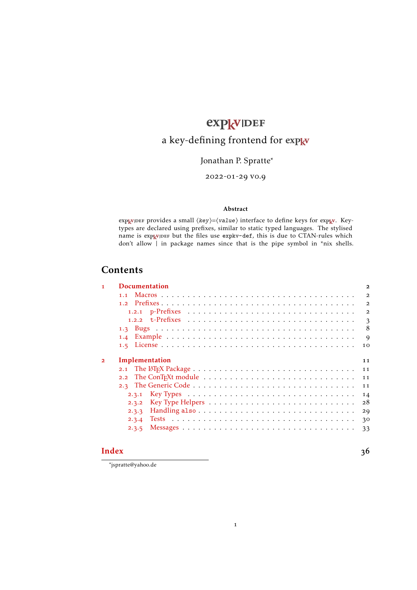# expkvlDEF

# a key-defining frontend for [expkv](https://github.com/Skillmon/tex_expkv)

## Jonathan P. Spratte<sup>\*</sup>

-01-29 v0.9

#### Abstract

exp<sub>k</sub>v<sub>IDEF</sub> provides a small  $\langle key \rangle = \langle value \rangle$  interface to define keys for exp<sub>k</sub>v. Keytypes are declared using prefixes, similar to static typed languages. The stylised name is exp<sub>kVIDEF</sub> but the files use [expkv-def](https://github.com/Skillmon/tex_expkv-def), this is due to CTAN-rules which don't allow | in package names since that is the pipe symbol in \*nix shells.

# **Contents**

| $\mathbf{I}$   | <b>Documentation</b>                                                                                          | $\overline{a}$ |
|----------------|---------------------------------------------------------------------------------------------------------------|----------------|
|                |                                                                                                               | $\overline{2}$ |
|                |                                                                                                               | $\overline{2}$ |
|                |                                                                                                               | $\overline{2}$ |
|                |                                                                                                               | 3              |
|                |                                                                                                               | 8              |
|                |                                                                                                               | 9              |
|                |                                                                                                               | 10             |
| $\overline{2}$ | Implementation                                                                                                | 11             |
|                |                                                                                                               | 11             |
|                | 2.2 The ConT <sub>F</sub> Xt module $\dots \dots \dots \dots \dots \dots \dots \dots \dots \dots \dots \dots$ | 11             |
|                |                                                                                                               | 11             |
|                | 2.3.1                                                                                                         | 14             |
|                | 2.3.2                                                                                                         | 28             |
|                | 2.3.3                                                                                                         | 29             |
|                | 2.3.4                                                                                                         | 30             |
|                | 2.3.5                                                                                                         | 33             |
|                |                                                                                                               |                |

#### **[Index](#page-35-0)** 36

\*jspratte@yahoo.de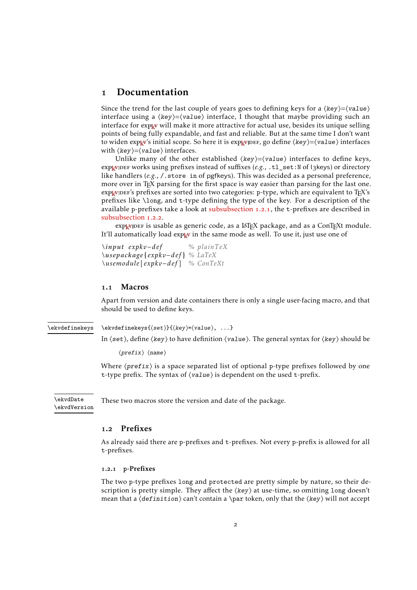## <span id="page-1-6"></span><span id="page-1-0"></span>1 Documentation

Since the trend for the last couple of years goes to defining keys for a  $\langle key \rangle = \langle value \rangle$ interface using a  $\langle key \rangle = \langle value \rangle$  interface, I thought that maybe providing such an interface for [expkv](https://github.com/Skillmon/tex_expkv) will make it more attractive for actual use, besides its unique selling points of being fully expandable, and fast and reliable. But at the same time I don't want to widen  $\exp_{\mathbf{R}} v$ 's initial scope. So here it is  $\exp_{\mathbf{R}} v$  per , go define  $\langle \text{key} \rangle = \langle \text{value} \rangle$  interfaces with  $\langle key \rangle = \langle value \rangle$  interfaces.

Unlike many of the other established  $\langle key \rangle = \langle value \rangle$  interfaces to define keys, exp<sub>kVIDEF</sub> works using prefixes instead of suffixes (*e.g.*, .tl\_set:N of l3keys) or directory like handlers (e.g., / store in of pgfkeys). This was decided as a personal preference, more over in T<sub>E</sub>X parsing for the first space is way easier than parsing for the last one.  $exp[x]DE$  sprefixes are sorted into two categories: p-type, which are equivalent to  $Tr[X]$ 's prefixes like \long, and t-type defining the type of the key. For a description of the available p-prefixes take a look at [subsubsection](#page-1-3) 1.2.1, the t-prefixes are described in [subsubsection](#page-2-0) 1.2.2.

exp<sub>kVIDEF</sub> is usable as generic code, as a LAT<sub>E</sub>X package, and as a ConT<sub>E</sub>Xt module. It'll automatically load  $\exp_{\mathbf{k}} v$  in the same mode as well. To use it, just use one of

*\input expkv−def % plainTeX \usepackage*{ *expkv−def* } *% LaTeX \usemodule* [ *expkv−def* ] *% ConTeXt*

#### <span id="page-1-1"></span>1.1 Macros

Apart from version and date containers there is only a single user-facing macro, and that should be used to define keys.

<span id="page-1-5"></span>\ekvdefinekeys

\ekvdefinekeys{⟨set⟩}{⟨key⟩=⟨value⟩, ...}

In  $\langle set \rangle$ , define  $\langle key \rangle$  to have definition  $\langle value \rangle$ . The general syntax for  $\langle key \rangle$  should be

⟨prefix⟩ ⟨name⟩

Where  $\langle prefix \rangle$  is a space separated list of optional p-type prefixes followed by one t-type prefix. The syntax of ⟨value⟩ is dependent on the used t-prefix.

\ekvdVersion

<span id="page-1-4"></span>\ekvdDate These two macros store the version and date of the package.

#### <span id="page-1-2"></span>1.2 Prefixes

As already said there are p-prefixes and t-prefixes. Not every p-prefix is allowed for all t-prefixes.

#### <span id="page-1-3"></span>1.2.1 **p**-Prefixes

The two p-type prefixes long and protected are pretty simple by nature, so their description is pretty simple. They affect the  $\langle \text{key} \rangle$  at use-time, so omitting long doesn't mean that a  $\text{definition}$  can't contain a \par token, only that the  $\langle \text{key} \rangle$  will not accept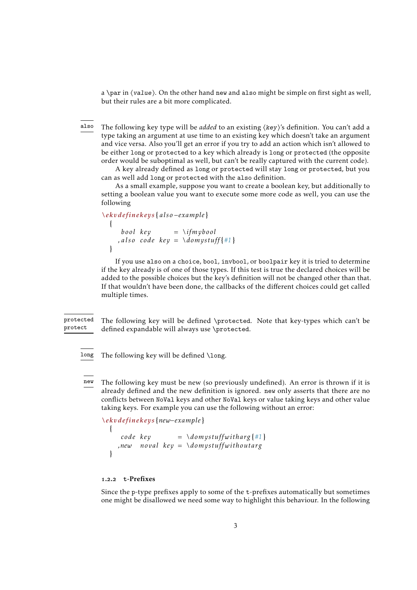<span id="page-2-1"></span>a \par in  $\{value\}$ . On the other hand new and also might be simple on first sight as well, but their rules are a bit more complicated.

The following key type will be *added* to an existing ⟨key⟩'s definition. You can't add a type taking an argument at use time to an existing key which doesn't take an argument and vice versa. Also you'll get an error if you try to add an action which isn't allowed to be either long or protected to a key which already is long or protected (the opposite order would be suboptimal as well, but can't be really captured with the current code). also

A key already defined as long or protected will stay long or protected, but you can as well add long or protected with the also definition.

As a small example, suppose you want to create a boolean key, but additionally to setting a boolean value you want to execute some more code as well, you can use the following

```
\ekvdefinekeys { also −example }
  {
     bool key = \ifmybool
    , also code key = \domystuff {#1}
  }
```
If you use also on a choice, bool, invbool, or boolpair key it is tried to determine if the key already is of one of those types. If this test is true the declared choices will be added to the possible choices but the key's definition will not be changed other than that. If that wouldn't have been done, the callbacks of the different choices could get called multiple times.

The following key will be defined \protected. Note that key-types which can't be defined expandable will always use \protected. protected protect

long The following key will be defined \long.

The following key must be new (so previously undefined). An error is thrown if it is already defined and the new definition is ignored. new only asserts that there are no conflicts between NoVal keys and other NoVal keys or value taking keys and other value taking keys. For example you can use the following without an error: new

*\ekvdefinekeys* {*new−example* }

```
code key = \d{dom}ystuffwitharg{\#1},new noval key = \domystuffwithoutarg
}
```
#### <span id="page-2-0"></span>1.2.2 **t**-Prefixes

{

Since the p-type prefixes apply to some of the t-prefixes automatically but sometimes one might be disallowed we need some way to highlight this behaviour. In the following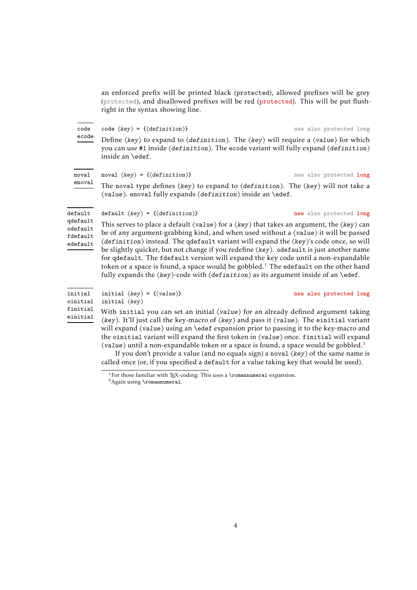<span id="page-3-2"></span>an enforced prefix will be printed black (protected), allowed prefixes will be grey (protected), and disallowed prefixes will be red (protected). This will be put flushright in the syntax showing line.

code  $\langle key \rangle = \{ \langle definition \rangle \}$  new also protected long Define  $\langle \text{key} \rangle$  to expand to  $\langle \text{definition} \rangle$ . The  $\langle \text{key} \rangle$  will require a  $\langle \text{value} \rangle$  for which you can use #1 inside ⟨definition⟩. The ecode variant will fully expand ⟨definition⟩ inside an \edef. code ecode noval  $\langle key \rangle = \{ \langle definition \rangle \}$  new also protected long The noval type defines  $\langle \text{key} \rangle$  to expand to  $\langle \text{definition} \rangle$ . The  $\langle \text{key} \rangle$  will not take a ⟨value⟩. enoval fully expands ⟨definition⟩ inside an \edef. noval enoval default  $\langle key \rangle = \{ \langle definition \rangle \}$  new also protected long This serves to place a default  $\langle value \rangle$  for a  $\langle key \rangle$  that takes an argument, the  $\langle key \rangle$  can be of any argument-grabbing kind, and when used without a ⟨value⟩ it will be passed ⟨definition⟩ instead. The qdefault variant will expand the ⟨key⟩'s code once, so will be slightly quicker, but not change if you redefine ⟨key⟩. odefault is just another name for qdefault. The fdefault version will expand the key code until a non-expandable token or a space is found, a space would be gobbled.<sup>[1](#page-3-0)</sup> The edefault on the other hand fully expands the  $\langle \text{key} \rangle$ -code with  $\langle \text{definition} \rangle$  as its argument inside of an  $\text{def.}$ default qdefault odefault fdefault edefault initial  $\langle key \rangle = {\langle value \rangle}$ initial ⟨key⟩ With initial you can set an initial  $\langle value \rangle$  for an already defined argument taking ⟨key⟩. It'll just call the key-macro of ⟨key⟩ and pass it ⟨value⟩. The einitial variant will expand  $\langle value \rangle$  using an \edef expansion prior to passing it to the key-macro and the oinitial variant will expand the first token in ⟨value⟩ once. finitial will expand initial oinitial finitial einitial

> $\langle$ value $\rangle$  until a non-expandable token or a space is found, a space would be gobbled.<sup>[2](#page-3-1)</sup> If you don't provide a value (and no equals sign) a noval  $\langle \text{key} \rangle$  of the same name is called once (or, if you specified a default for a value taking key that would be used).

<span id="page-3-0"></span><sup>&</sup>lt;sup>1</sup>For those familiar with T<sub>E</sub>X-coding: This uses a \romannumeral-expansion.

<span id="page-3-1"></span><sup>2</sup>Again using \romannumeral.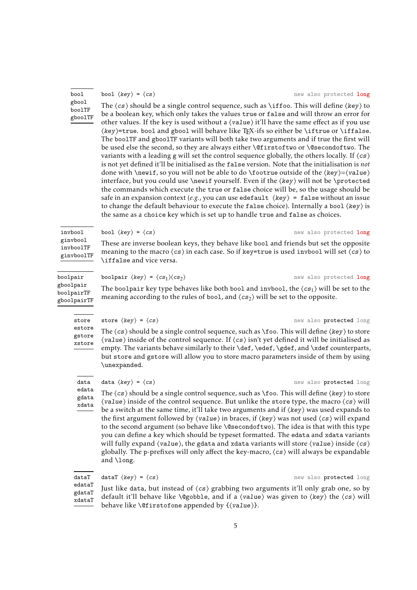#### bool gbool boolTF gboolTF

invbool ginvbool invboolTF

#### The  $\langle cs \rangle$  should be a single control sequence, such as \iffoo. This will define  $\langle key \rangle$  to be a boolean key, which only takes the values true or false and will throw an error for other values. If the key is used without a  $\langle value \rangle$  it'll have the same effect as if you use ⟨key⟩=true. bool and gbool will behave like TEX-ifs so either be \iftrue or \iffalse. The boolTF and gboolTF variants will both take two arguments and if true the first will be used else the second, so they are always either \@firstoftwo or \@secondoftwo. The variants with a leading g will set the control sequence globally, the others locally. If  $\langle cs \rangle$ is not yet defined it'll be initialised as the false version. Note that the initialisation is *not* done with \newif, so you will not be able to do \footrue outside of the  $\langle key \rangle = \langle value \rangle$ interface, but you could use \newif yourself. Even if the ⟨key⟩ will not be \protected the commands which execute the true or false choice will be, so the usage should be safe in an expansion context (*e.g.*, you can use edefault  $\langle key \rangle$  = false without an issue to change the default behaviour to execute the false choice). Internally a bool  $\langle \text{key} \rangle$  is the same as a choice key which is set up to handle true and false as choices.

<span id="page-4-0"></span>bool  $\langle key \rangle = \langle cs \rangle$  new also protected long

These are inverse boolean keys, they behave like bool and friends but set the opposite meaning to the macro  $\langle cs \rangle$  in each case. So if key=true is used invbool will set  $\langle cs \rangle$  to \iffalse and vice versa.

bool  $\langle key \rangle = \langle cs \rangle$  new also protected long

**boolpair**  $\langle key \rangle = \langle cs_1 \rangle \langle cs_2 \rangle$  new also protected long The boolpair key type behaves like both bool and invbool, the  $\langle cs_1 \rangle$  will be set to the meaning according to the rules of bool, and  $\langle cs_2 \rangle$  will be set to the opposite. boolpair gboolpair boolpairTF gboolpairTF

store estore gstore

The  $\langle cs \rangle$  should be a single control sequence, such as \foo. This will define  $\langle key \rangle$  to store  $\langle$ value $\rangle$  inside of the control sequence. If  $\langle cs \rangle$  isn't yet defined it will be initialised as empty. The variants behave similarly to their \def, \edef, \gdef, and \xdef counterparts, but store and gstore will allow you to store macro parameters inside of them by using \unexpanded.

data  $\langle key \rangle = \langle cs \rangle$  new also protected long data edata

The  $\langle cs \rangle$  should be a single control sequence, such as \foo. This will define  $\langle key \rangle$  to store  $\langle$ value $\rangle$  inside of the control sequence. But unlike the store type, the macro  $\langle cs \rangle$  will be a switch at the same time, it'll take two arguments and if ⟨key⟩ was used expands to the first argument followed by  $\langle value \rangle$  in braces, if  $\langle key \rangle$  was not used  $\langle cs \rangle$  will expand to the second argument (so behave like \@secondoftwo). The idea is that with this type you can define a key which should be typeset formatted. The edata and xdata variants will fully expand  $\langle value \rangle$ , the gdata and xdata variants will store  $\langle value \rangle$  inside  $\langle cs \rangle$ globally. The p-prefixes will only affect the key-macro,  $\langle cs \rangle$  will always be expandable and \long.

dataT  $\langle key \rangle = \langle cs \rangle$  new also protected long dataT

Just like data, but instead of  $\langle cs \rangle$  grabbing two arguments it'll only grab one, so by default it'll behave like \@gobble, and if a  $\langle value \rangle$  was given to  $\langle key \rangle$  the  $\langle cs \rangle$  will behave like \@firstofone appended by {⟨value⟩}. edataT gdataT xdataT

ginvboolTF

## store  $\langle key \rangle = \langle cs \rangle$  new also protected long

# xstore

gdata xdata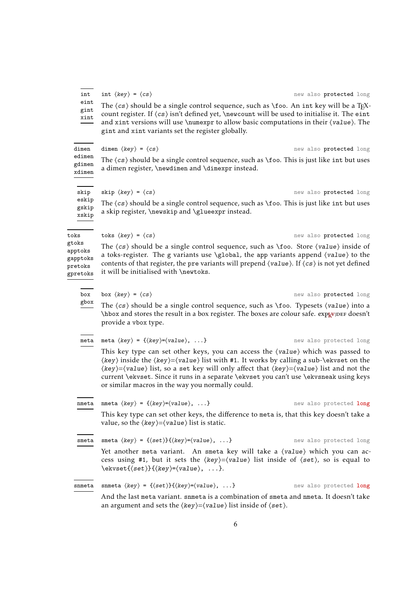| edimen<br>gdimen<br>xdimen                                                | The $\langle cs \rangle$ should be a single control sequence, such as $\setminus$ foo. This is just like int but uses<br>a dimen register, \newdimen and \dimexpr instead.                                                                                                                                                                                                                                                                                                                                                                  |                         |
|---------------------------------------------------------------------------|---------------------------------------------------------------------------------------------------------------------------------------------------------------------------------------------------------------------------------------------------------------------------------------------------------------------------------------------------------------------------------------------------------------------------------------------------------------------------------------------------------------------------------------------|-------------------------|
| skip                                                                      | skip $\langle key \rangle = \langle cs \rangle$                                                                                                                                                                                                                                                                                                                                                                                                                                                                                             | new also protected long |
| eskip<br>gskip<br>xskip                                                   | The $\langle cs \rangle$ should be a single control sequence, such as $\setminus$ foo. This is just like int but uses<br>a skip register, \newskip and \glueexpr instead.                                                                                                                                                                                                                                                                                                                                                                   |                         |
| toks                                                                      | toks $\langle key \rangle = \langle cs \rangle$                                                                                                                                                                                                                                                                                                                                                                                                                                                                                             | new also protected long |
| gtoks<br>apptoks<br>gapptoks<br>$\operatorname{\textsf{pre}}$<br>gpretoks | The $\langle cs \rangle$ should be a single control sequence, such as $\setminus$ foo. Store $\langle value \rangle$ inside of<br>a toks-register. The g variants use \global, the app variants append $\langle value \rangle$ to the<br>contents of that register, the pre variants will prepend $\langle value \rangle$ . If $\langle cs \rangle$ is not yet defined<br>it will be initialised with \newtoks.                                                                                                                             |                         |
| box                                                                       | box $\langle key \rangle = \langle cs \rangle$                                                                                                                                                                                                                                                                                                                                                                                                                                                                                              | new also protected long |
| gbox                                                                      | The $\langle cs \rangle$ should be a single control sequence, such as \foo. Typesets $\langle value \rangle$ into a<br>\hbox and stores the result in a box register. The boxes are colour safe. explouse doesn't<br>provide a vbox type.                                                                                                                                                                                                                                                                                                   |                         |
| meta                                                                      | meta $\langle key \rangle = \{\langle key \rangle = \langle value \rangle, \dots\}$                                                                                                                                                                                                                                                                                                                                                                                                                                                         | new also protected long |
|                                                                           | This key type can set other keys, you can access the (value) which was passed to<br>$\langle key \rangle$ inside the $\langle key \rangle = \langle value \rangle$ list with #1. It works by calling a sub- $\langle$ ekvset on the<br>$\langle key \rangle = \langle value \rangle$ list, so a set key will only affect that $\langle key \rangle = \langle value \rangle$ list and not the<br>current \ekvset. Since it runs in a separate \ekvset you can't use \ekvsneak using keys<br>or similar macros in the way you normally could. |                         |
| nmeta                                                                     | nmeta $\langle key \rangle = \{\langle key \rangle = \langle value \rangle, \dots\}$                                                                                                                                                                                                                                                                                                                                                                                                                                                        | new also protected long |
|                                                                           | This key type can set other keys, the difference to meta is, that this key doesn't take a<br>value, so the $\langle key \rangle = \langle value \rangle$ list is static.                                                                                                                                                                                                                                                                                                                                                                    |                         |
| smeta                                                                     | smeta $\langle key \rangle = \{\langle set \rangle\} \{\langle key \rangle = \langle value \rangle, \dots\}$                                                                                                                                                                                                                                                                                                                                                                                                                                | new also protected long |
|                                                                           | Yet another meta variant. An smeta key will take a (value) which you can ac-                                                                                                                                                                                                                                                                                                                                                                                                                                                                |                         |

<span id="page-5-0"></span> $int \langle key \rangle = \langle cs \rangle$  new also protected long The  $\langle cs \rangle$  should be a single control sequence, such as \foo. An int key will be a TEXcount register. If  $\langle cs \rangle$  isn't defined yet, \newcount will be used to initialise it. The eint

dimen  $\langle key \rangle = \langle cs \rangle$  new also protected long

Yet another meta variant. An smeta key will take a (value) which you can access using #1, but it sets the ⟨key⟩=⟨value⟩ list inside of ⟨set⟩, so is equal to \ekvset{⟨set⟩}{⟨key⟩=⟨value⟩, ...}.

| snmeta snmeta $\langle key \rangle = \{\langle set \rangle\}\{\langle key \rangle = \langle value \rangle, \ldots\}$ | new also protected long |
|----------------------------------------------------------------------------------------------------------------------|-------------------------|
| And the last meta variant, snmeta is a combination of smeta and nmeta. It doesn't take                               |                         |

an argument and sets the  $\langle key \rangle = \langle value \rangle$  list inside of  $\langle set \rangle$ .

and xint versions will use \numexpr to allow basic computations in their  $\{value\}$ . The gint and xint variants set the register globally.

dimen

int eint gint xint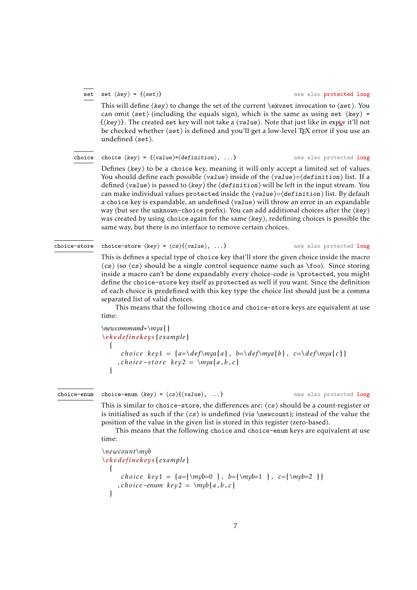#### set

#### <span id="page-6-0"></span>set  $\langle key \rangle = \{ \langle set \rangle \}$  new also protected long

This will define  $\langle \text{key} \rangle$  to change the set of the current \ekvset invocation to  $\langle \text{set} \rangle$ . You can omit  $\langle set \rangle$  (including the equals sign), which is the same as using set  $\langle key \rangle$  = {⟨key⟩}. The created set key will not take a ⟨value⟩. Note that just like in [expkv](https://github.com/Skillmon/tex_expkv) it'll not be checked whether  $\langle set \rangle$  is defined and you'll get a low-level T<sub>E</sub>X error if you use an undefined ⟨set⟩.

#### choice  $\langle key \rangle = \{ \langle value \rangle = \langle definition \rangle, \ldots \}$  new also protected long choice

Defines  $\langle \text{key} \rangle$  to be a choice key, meaning it will only accept a limited set of values. You should define each possible  $\langle value \rangle$  inside of the  $\langle value \rangle = \langle definition \rangle$  list. If a defined  $\langle value \rangle$  is passed to  $\langle key \rangle$  the  $\langle definition \rangle$  will be left in the input stream. You can make individual values protected inside the  $\langle value \rangle = \langle definition \rangle$  list. By default a choice key is expandable, an undefined  $\langle value \rangle$  will throw an error in an expandable way (but see the unknown-choice prefix). You can add additional choices after the  $\langle \text{key} \rangle$ was created by using choice again for the same  $\langle key \rangle$ , redefining choices is possible the same way, but there is no interface to remove certain choices.

#### choice-store

choice-store  $\langle key \rangle = \langle cs \rangle$ { $\langle value \rangle$ , ...} new also protected long

This is defines a special type of choice key that'll store the given choice inside the macro ⟨cs⟩ (so ⟨cs⟩ should be a single control sequence name such as \foo). Since storing inside a macro can't be done expandably every choice-code is \protected, you might define the choice-store key itself as protected as well if you want. Since the definition of each choice is predefined with this key type the choice list should just be a comma separated list of valid choices.

This means that the following choice and choice-store keys are equivalent at use time:

```
\newcommand∗\mya{ }
\ekvdefinekeys { example }
  {
      choice key<sup>1</sup> = {a=\det\max\{a\}, b=\det\max\{b\}, c=\det\max\{c\}}
     , choice −store key2 = \mya{a , b , c }
  }
```
#### choice-enum

choice-enum  $\langle key \rangle = \langle cs \rangle$ { $\langle value \rangle$ , ...} new also protected long

This is similar to choice-store, the differences are:  $\langle cs \rangle$  should be a count-register or is initialised as such if the  $\langle \sigma \rangle$  is undefined (via \newcount); instead of the value the position of the value in the given list is stored in this register (zero-based).

This means that the following choice and choice-enum keys are equivalent at use time:

```
\newcount\myb
\ekvdefinekeys { example }
  {
     choice key1 = {a={\myb=0 } , b={\myb=1 } , c={\myb=2 } }
    , choice −enum key2 = \myb{a , b , c }
  }
```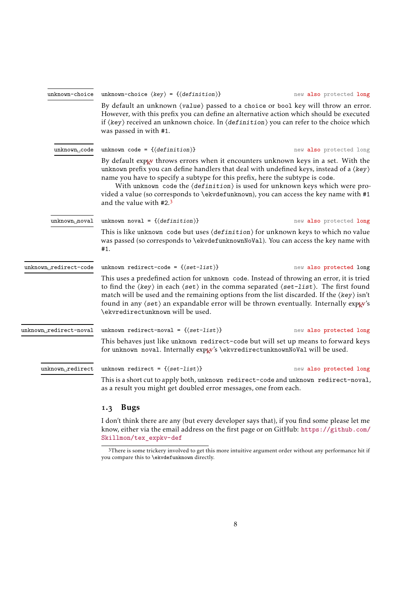<span id="page-7-2"></span>

| unknown-choice                      | unknown-choice $\langle key \rangle = \{ \langle definition \rangle \}$                                                                                                                                                                                                                                                                                                                                                                                                                                                            | new also protected long |
|-------------------------------------|------------------------------------------------------------------------------------------------------------------------------------------------------------------------------------------------------------------------------------------------------------------------------------------------------------------------------------------------------------------------------------------------------------------------------------------------------------------------------------------------------------------------------------|-------------------------|
|                                     | By default an unknown (value) passed to a choice or bool key will throw an error.<br>However, with this prefix you can define an alternative action which should be executed<br>if $\langle key \rangle$ received an unknown choice. In $\langle definition \rangle$ you can refer to the choice which<br>was passed in with #1.                                                                                                                                                                                                   |                         |
| unknown <sub>  </sub> code          | unknown code = $\{\langle definition \rangle\}$                                                                                                                                                                                                                                                                                                                                                                                                                                                                                    | new also protected long |
|                                     | By default expl w throws errors when it encounters unknown keys in a set. With the<br>unknown prefix you can define handlers that deal with undefined keys, instead of a $\langle \text{key} \rangle$<br>name you have to specify a subtype for this prefix, here the subtype is code.<br>With unknown code the $\langle definition \rangle$ is used for unknown keys which were pro-<br>vided a value (so corresponds to \ekvdefunknown), you can access the key name with #1<br>and the value with #2.3                          |                         |
| $unknown_1$ noval                   | unknown noval = $\{\langle definition \rangle\}$                                                                                                                                                                                                                                                                                                                                                                                                                                                                                   | new also protected long |
|                                     | This is like unknown code but uses $\langle definition \rangle$ for unknown keys to which no value<br>was passed (so corresponds to \ekvdefunknownNoVa1). You can access the key name with<br>#1.                                                                                                                                                                                                                                                                                                                                  |                         |
| unknown <sub>D</sub> redirect-code  | unknown redirect-code = { $\{set\text{-list}\}$ }                                                                                                                                                                                                                                                                                                                                                                                                                                                                                  | new also protected long |
|                                     | This uses a predefined action for unknown code. Instead of throwing an error, it is tried<br>to find the $\langle \text{key} \rangle$ in each $\langle \text{set} \rangle$ in the comma separated $\langle \text{set-list} \rangle$ . The first found<br>match will be used and the remaining options from the list discarded. If the $\langle \text{key} \rangle$ isn't<br>found in any $\langle set \rangle$ an expandable error will be thrown eventually. Internally exp <sub>k</sub> v's<br>\ekvredirectunknown will be used. |                         |
| unknown <sub>D</sub> redirect-noval | unknown redirect-noval = { $\langle set-list \rangle$ }                                                                                                                                                                                                                                                                                                                                                                                                                                                                            | new also protected long |
|                                     | This behaves just like unknown redirect-code but will set up means to forward keys<br>for unknown noval. Internally explv's \ekvredirectunknownNoVal will be used.                                                                                                                                                                                                                                                                                                                                                                 |                         |
| unknown redirect                    | unknown redirect = { $\{set$ -list}}                                                                                                                                                                                                                                                                                                                                                                                                                                                                                               | new also protected long |
|                                     | This is a short cut to apply both, unknown redirect-code and unknown redirect-noval,<br>as a result you might get doubled error messages, one from each.                                                                                                                                                                                                                                                                                                                                                                           |                         |
|                                     | <b>Bugs</b><br>1.3                                                                                                                                                                                                                                                                                                                                                                                                                                                                                                                 |                         |
|                                     | I don't think there are any (but every developer says that), if you find some please let me                                                                                                                                                                                                                                                                                                                                                                                                                                        |                         |

<span id="page-7-0"></span>know, either via the email address on the first page or on GitHub: [https://github.com/](https://github.com/Skillmon/tex_expkv-def) [Skillmon/tex\\_expkv-def](https://github.com/Skillmon/tex_expkv-def)

<span id="page-7-1"></span><sup>3</sup>There is some trickery involved to get this more intuitive argument order without any performance hit if you compare this to \ekvdefunknown directly.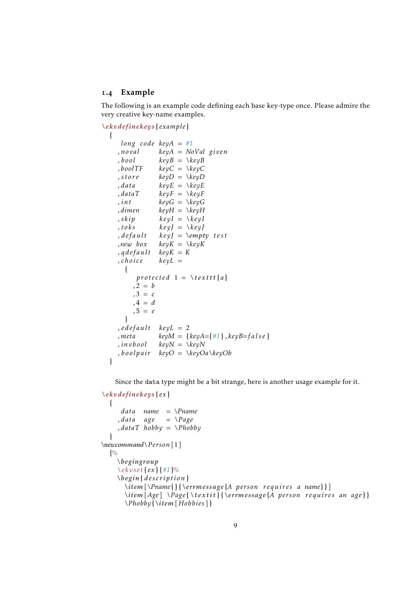#### <span id="page-8-0"></span>1.4 Example

The following is an example code defining each base key-type once. Please admire the very creative key-name examples.

```
\ekvdefinekeys { example }
```

```
\{long code keyA = #1
  , noval keyA = NoVal given
             keyB = \kappaeyB
  , boolTF keyC = \kappaeyC
  , store keyD = \keyD
  , data keyE = \keyE
  , dataT keyF = \keyF
  , int keyG = \kappa_{ev}G,dimen keyH = \keyH
  , skip \t\ keyI = \kappa eyI, toks keyJ = \kappa(y), default keyJ = \empty t e s t
  ,new box keyK = \keyK
  , qdefault keyK = K
  , choice keyL =
    {
       protected 1 = \text{Textt} {a},2 = b
      ,3 = c
      , 4 = d,5 = e
    }
  , edefault keyL = 2
  , meta keyM = \{keyA = \{\#1\}, keyB = false\}, invbool keyN = \keyN
  , boolpair keyO = \keyOa\keyOb
}
```
Since the data type might be a bit strange, here is another usage example for it.

```
\ekvdefinekeys { ex }
  {
     data name = \Pname
    , data age = \Page
    , dataT hobby = \Phobby
  }
\newcommand\Person [1]
  {%
    \begingroup
    \ekvset { ex } {#1}%
    \begin{ description }
      \item[\Pname{ } {\errmessage{A person requires a name} } ]
      \item[Age ] \Page { \ te x t i t } {\errmessage{A person requires an age } }
      \Phobby{\item[ Hobbies] }
```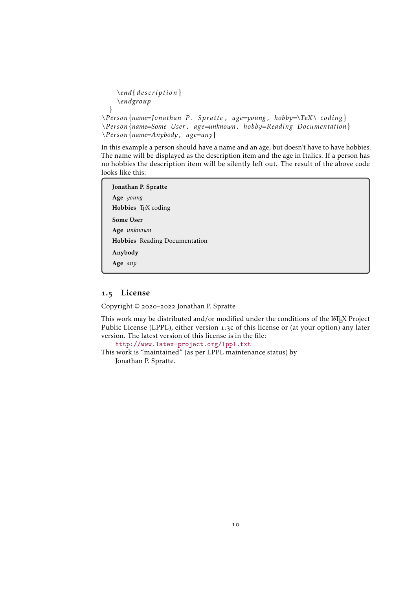```
\end{ description }
    \endgroup
 }
\Person{name=Jonathan P. Spratte , age=young , hobby=\TeX\ coding }
```

```
\Person{name=Some User , age=unknown, hobby=Reading Documentation}
\Person{name=Anybody , age=any}
```
In this example a person should have a name and an age, but doesn't have to have hobbies. The name will be displayed as the description item and the age in Italics. If a person has no hobbies the description item will be silently left out. The result of the above code looks like this:

Jonathan P. Spratte Age *young* Hobbies TEX coding Some User Age *unknown* Hobbies Reading Documentation Anybody Age *any*

## <span id="page-9-0"></span>1.5 License

Copyright © 2020–2022 Jonathan P. Spratte

This work may be distributed and/or modified under the conditions of the LATEX Project Public License (LPPL), either version 1.3c of this license or (at your option) any later version. The latest version of this license is in the file:

<http://www.latex-project.org/lppl.txt>

This work is "maintained" (as per LPPL maintenance status) by Jonathan P. Spratte.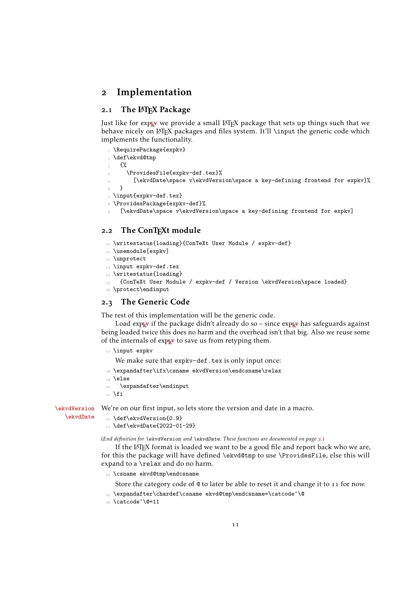#### <span id="page-10-0"></span>2 Implementation

#### <span id="page-10-1"></span>2.1 The LAT<sub>F</sub>X Package

Just like for explay we provide a small LATEX package that sets up things such that we behave nicely on LATEX packages and files system. It'll \input the generic code which implements the functionality.

```
\RequirePackage{expkv}
2 \def\ekvd@tmp
3 {%
      4 \ProvidesFile{expkv-def.tex}%
        [\ekvdDate\space v\ekvdVersion\space a key-defining frontend for expkv]%
   6 }
7 \input{expkv-def.tex}
8 \ProvidesPackage{expkv-def}%
```

```
[\ekvdDate\space v\ekvdVersion\space a key-defining frontend for expkv]
```
#### <span id="page-10-2"></span>2.2 The ConT<sub>F</sub>Xt module

- <span id="page-10-12"></span>10 \writestatus{loading}{ConTeXt User Module / expkv-def}
- <span id="page-10-11"></span>11 \usemodule[expkv]
- <span id="page-10-10"></span>12 \unprotect
- 13 \input expkv-def.tex
- <span id="page-10-13"></span>14 \writestatus{loading}
- <span id="page-10-7"></span><sup>15</sup> {ConTeXt User Module / expkv-def / Version \ekvdVersion\space loaded}
- <span id="page-10-8"></span><sup>16</sup> \protect\endinput

#### <span id="page-10-3"></span>2.3 The Generic Code

The rest of this implementation will be the generic code.

Load explay if the package didn't already do so – since  $\exp_{\mathbf{k}} v$  has safeguards against being loaded twice this does no harm and the overhead isn't that big. Also we reuse some of the internals of  $exp<sub>k</sub>v$  to save us from retyping them.

17 **\input expkv** 

We make sure that expkv-def.tex is only input once:

- 18 \expandafter\ifx\csname ekvdVersion\endcsname\relax
- 19 **\else**
- <sup>20</sup> \expandafter\endinput
- $_{21}$  \fi

[\ekvdDate](#page-1-4)

[\ekvdVersion](#page-1-4) We're on our first input, so lets store the version and date in a macro.

```
22 \def\ekvdVersion{0.9}
```
 $_{23}$  \def\ekvdDate{2022-01-29}

(*End definition for* \ekvdVersion *and* \ekvdDate*. These functions are documented on page [2](#page-1-4).*)

If the LATEX format is loaded we want to be a good file and report back who we are, for this the package will have defined \ekvd@tmp to use \ProvidesFile, else this will expand to a \relax and do no harm.

<sup>24</sup> \csname ekvd@tmp\endcsname

Store the category code of @ to later be able to reset it and change it to 11 for now.

- <sup>25</sup> \expandafter\chardef\csname ekvd@tmp\endcsname=\catcode'\@
- <sup>26</sup> \catcode'\@=11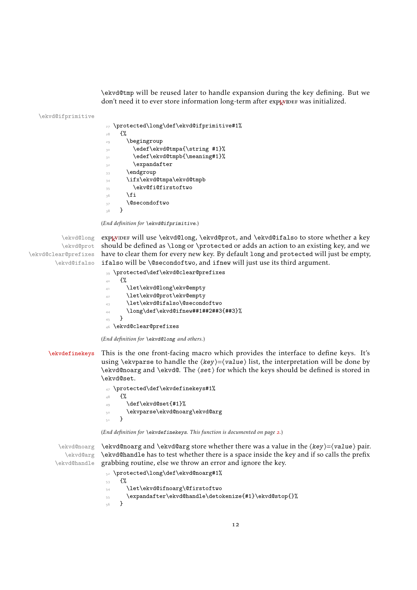\ekvd@tmp will be reused later to handle expansion during the key defining. But we don't need it to ever store information long-term after exp<sub>kVIDEF</sub> was initialized.

\ekvd@ifprimitive

<span id="page-11-14"></span><span id="page-11-12"></span><span id="page-11-9"></span>

| 27 | \protected\long\def\ekvd@ifprimitive#1% |
|----|-----------------------------------------|
| 28 | ſ%                                      |
| 29 | \begingroup                             |
| 30 | \edef\ekvd@tmpa{\string #1}%            |
| 31 | \edef\ekvd@tmpb{\meaning#1}%            |
| 32 | \expandafter                            |
| 33 | \endgroup                               |
| 34 | \ifx\ekvd@tmpa\ekvd@tmpb                |
| 35 | \ekv@fi@firstoftwo                      |
| 36 | \fi                                     |
| 37 | <b>\@secondoftwo</b>                    |
| 38 | ł                                       |
|    |                                         |

<span id="page-11-13"></span><span id="page-11-6"></span><span id="page-11-4"></span>(*End definition for* \ekvd@ifprimitive*.*)

\ekvd@long **exp<sub>k</sub>vIDEF</sub> will use \ekvd@long, \ekvd@prot, and \ekvd@ifalso to store whether a key** \ekvd@prot should be defined as \long or \protected or adds an action to an existing key, and we \ekvd@clear@prefixes have to clear them for every new key. By default long and protected will just be empty, \ekvd@ifalso ifalso will be \@secondoftwo, and ifnew will just use its third argument.

<span id="page-11-3"></span><span id="page-11-2"></span>

|    | 39 \protected\def\ekvd@clear@prefixes |
|----|---------------------------------------|
| 40 | ብ"                                    |
| 41 | \let\ekvd@long\ekv@empty              |
| 42 | \let\ekvd@prot\ekv@empty              |
| 43 | \let\ekvd@ifalso\@secondoftwo         |
| 44 | \long\def\ekvd@ifnew##1##2##3{##3}%   |
| 45 | ι                                     |
|    | 46 \ekvd@clear@prefixes               |

<span id="page-11-7"></span><span id="page-11-0"></span>(*End definition for* \ekvd@long *and others.*)

#### [\ekvdefinekeys](#page-1-5) This is the one front-facing macro which provides the interface to define keys. It's using \ekvparse to handle the  $\langle key \rangle = \langle value \rangle$  list, the interpretation will be done by \ekvd@noarg and \ekvd@. The ⟨set⟩ for which the keys should be defined is stored in \ekvd@set.

<span id="page-11-10"></span><sup>47</sup> \protected\def\ekvdefinekeys#1% 48 **{%**  $\det\text{det}\left\{\#1\right\}$ <sup>50</sup> \ekvparse\ekvd@noarg\ekvd@arg 51 }

<span id="page-11-5"></span><span id="page-11-1"></span>(*End definition for* \ekvdefinekeys*. This function is documented on page [2](#page-1-5).*)

\ekvd@noarg \ekvd@noarg and \ekvd@arg store whether there was a value in the ⟨key⟩=⟨value⟩ pair. \ekvd@arg \ekvd@handle \ekvd@handle has to test whether there is a space inside the key and if so calls the prefix grabbing routine, else we throw an error and ignore the key.

```
52 \protected\long\def\ekvd@noarg#1%
53 \frac{\mathrm{V}}{\mathrm{V}}54 \let\ekvd@ifnoarg\@firstoftwo
\verb|555 \verb|expandafter\ekvdd0handle\detokenize{#1}\ekvdd0stop{}\n56 \verb|}56 }
```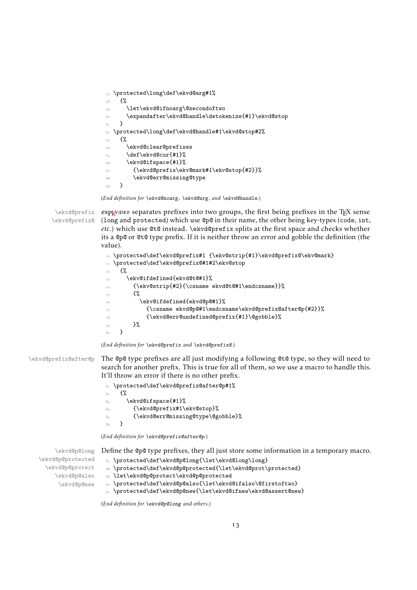```
57 \protected\long\def\ekvd@arg#1%
58 {%
59 \let\ekvd@ifnoarg\@secondoftwo
60 \expandafter\ekvd@handle\detokenize{#1}\ekvd@stop
61 }
62 \protected\long\def\ekvd@handle#1\ekvd@stop#2%
63 \{%64 \ekvd@clear@prefixes
65 \def\ekvd@cur{#1}%
66 \ekvd@ifspace{#1}%
\qquad \qquad \S68 \ekvd@err@missing@type
69 }
```
<span id="page-12-15"></span><span id="page-12-10"></span><span id="page-12-9"></span><span id="page-12-8"></span><span id="page-12-2"></span>(*End definition for* \ekvd@noarg *,* \ekvd@arg *, and* \ekvd@handle*.*)

\ekvd@prefix \ekvd@prefix@

<span id="page-12-19"></span> $exp<sub>k</sub>$ VIDEF separates prefixes into two groups, the first being prefixes in the T<sub>E</sub>X sense (long and protected) which use @p@ in their name, the other being key-types (code, int, *etc.*) which use @t@ instead. \ekvd@prefix splits at the first space and checks whether its a @p@ or @t@ type prefix. If it is neither throw an error and gobble the definition (the value).

```
70 \protected\def\ekvd@prefix#1 {\ekv@strip{#1}\ekvd@prefix@\ekv@mark}
71 \protected\def\ekvd@prefix@#1#2\ekv@stop
72 {%
73 \ekv@ifdefined{ekvd@t@#1}%
74 {\ekv@strip{#2}{\csname ekvd@t@#1\endcsname}}%
75 \{ \%76 \ekv@ifdefined{ekvd@p@#1}%
77 {\csname ekvd@p@#1\endcsname\ekvd@prefix@after@p{#2}}%
78 {\ekvd@err@undefined@prefix{#1}\@gobble}%
79 }%
80 }
```
<span id="page-12-21"></span><span id="page-12-20"></span><span id="page-12-12"></span><span id="page-12-1"></span>(*End definition for* \ekvd@prefix *and* \ekvd@prefix@*.*)

\ekvd@prefix@after@p The @p@ type prefixes are all just modifying a following @t@ type, so they will need to search for another prefix. This is true for all of them, so we use a macro to handle this. It'll throw an error if there is no other prefix.

<span id="page-12-16"></span><span id="page-12-5"></span>

|                | 81 \protected\def\ekvd@prefix@after@p#1% |
|----------------|------------------------------------------|
| 8 <sub>2</sub> | ብ"                                       |
| 83             | \ekvd@ifspace{#1}%                       |
| 84             | {\ekvd@prefix#1\ekv@stop}%               |
| 85             | {\ekvd@err@missing@type\@gobble}%        |
| 86             |                                          |

<span id="page-12-22"></span><span id="page-12-18"></span><span id="page-12-17"></span><span id="page-12-11"></span>(*End definition for* \ekvd@prefix@after@p*.*)

|                  | $\lambda$ ekvd@p@long Define the @p@ type prefixes, they all just store some information in a temporary macro. |
|------------------|----------------------------------------------------------------------------------------------------------------|
| ekvd@p@protected | 87 \protected\def\ekvd@p@long{\let\ekvd@long\long}                                                             |
| ekvd@p@protect\  | 88 \protected\def\ekvd@p@protected{\let\ekvd@prot\protected}                                                   |
| \ekvd@p@also     | 89 \let\ekvd@p@protect\ekvd@p@protected                                                                        |
| \ekvd©p©new      | opportected\def\ekvd@p@also{\let\ekvd@ifalso\@firstoftwo}                                                      |
|                  | 91 \protected\def\ekvd@p@new{\let\ekvd@ifnew\ekvd@assert@new}                                                  |
|                  |                                                                                                                |

<span id="page-12-13"></span><span id="page-12-7"></span>(*End definition for* \ekvd@p@long *and others.*)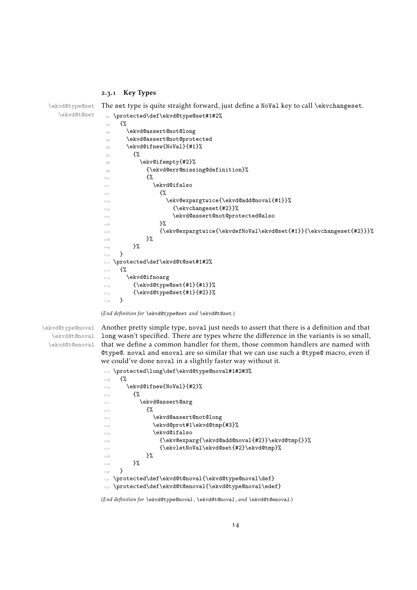#### <span id="page-13-20"></span><span id="page-13-15"></span><span id="page-13-13"></span><span id="page-13-12"></span><span id="page-13-10"></span><span id="page-13-8"></span><span id="page-13-6"></span><span id="page-13-5"></span><span id="page-13-0"></span>2.3.1 Key Types

```
\ekvd@type@set
  \ekvd@t@set
             The set type is quite straight forward, just define a NoVal key to call \ekvchangeset.
              92 \protected\def\ekvd@type@set#1#2%
              93 {%
              94 \ekvd@assert@not@long
              95 \ekvd@assert@not@protected
              96 \ekvd@ifnew{NoVal}{#1}%
              \frac{97}{ } {%
              98 \ekv@ifempty{#2}%
              99 {\ekvd@err@missing@definition}%
              100101 \ekvd@ifalso
              \mathcal{H}103 \ekv@expargtwice{\ekvd@add@noval{#1}}%
              104 {\ekvchangeset{#2}}%
              105 \ekvd@assert@not@protected@also
              106 }107 \{\ekv@expargtwice{\ekvdefNoVal\ekvdeset{#1}}{\ekvchangeset{#2}}}
              108 }%
              109 }%
              110 }
             111 \protected\def\ekvd@t@set#1#2%
             112 f%
             113 \ekvd@ifnoarg
             114 {\ekvd@type@set{#1}{#1}}%
             115 {\ekvd@type@set{#1}{#2}}%
             116 }
```

```
(End definition for \ekvd@type@set and \ekvd@t@set.)
```

```
\ekvd@type@noval
   \ekvd@t@noval
  \ekvd@t@enoval
```
<span id="page-13-19"></span>Another pretty simple type, noval just needs to assert that there is a definition and that long wasn't specified. There are types where the difference in the variants is so small, that we define a common handler for them, those common handlers are named with @type@. noval and enoval are so similar that we can use such a @type@ macro, even if we could've done noval in a slightly faster way without it.

```
117 \protected\long\def\ekvd@type@noval#1#2#3%
118 {%
119 \ekvd@ifnew{NoVal}{#2}%
120 \frac{120}{20}121 \ekvd@assert@arg
122 \overline{122}123 \ekvd@assert@not@long
124 \ekvd@prot#1\ekvd@tmp{#3}%
125 \ekvd@ifalso
126 {\ekv@exparg{\ekvd@add@noval{#2}}\ekvd@tmp{}}%
127 {\ekvletNoVal\ekvd@set{#2}\ekvd@tmp}%
128 }%
129 }%
130 }
131 \protected\def\ekvd@t@noval{\ekvd@type@noval\def}
132 \protected\def\ekvd@t@enoval{\ekvd@type@noval\edef}
```
<span id="page-13-4"></span><span id="page-13-3"></span>(*End definition for* \ekvd@type@noval *,* \ekvd@t@noval *, and* \ekvd@t@enoval*.*)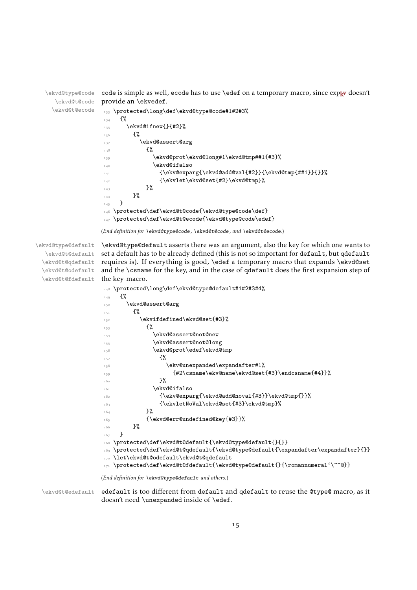\ekvd@type@code \ekvd@t@code \ekvd@t@ecode code is simple as well, ecode has to use \edef on a temporary macro, since  $\exp_{\mathbf{x}}$  doesn't provide an \ekvedef. <sup>133</sup> \protected\long\def\ekvd@type@code#1#2#3%  $134$   $\{$ %  $\frac{135}{135}$  \ekvd@ifnew{}{#2}%  $136$   $\{ \%$ 

```
137 \ekvd@assert@arg
138 \{ \%139 \ekvd@prot\ekvd@long#1\ekvd@tmp##1{#3}%
140 \text{ekvddifalso}141 \{\ekv@exparg\\ekvd@add@val{\#2}\}\{\ekvdd@tmp{\#41}\}\}\142 \{ \ekvlet\ekvddSet{#2} \ekvddtemp\%143 }%
144 }%
145 }
146 \protected\def\ekvd@t@code{\ekvd@type@code\def}
147 \protected\def\ekvd@t@ecode{\ekvd@type@code\edef}
```
(*End definition for* \ekvd@type@code *,* \ekvd@t@code *, and* \ekvd@t@ecode*.*)

\ekvd@type@default \ekvd@t@default \ekvd@t@qdefault \ekvd@t@odefault \ekvd@t@fdefault

<span id="page-14-18"></span>\ekvd@type@default asserts there was an argument, also the key for which one wants to set a default has to be already defined (this is not so important for default, but qdefault requires is). If everything is good, \edef a temporary macro that expands \ekvd@set and the \csname for the key, and in the case of qdefault does the first expansion step of the key-macro.

```
148 \protected\long\def\ekvd@type@default#1#2#3#4%
149 \{%
150 \ekvd@assert@arg
151 \{ \%152 \ekvifdefined\ekvd@set{#3}%
153 \{ \%154 \ekvd@assert@not@new
155 \ekvd@assert@not@long
156 \ekvd@prot\edef\ekvd@tmp
157 \{ \%158 \ekv@unexpanded\expandafter#1%
$\{#2\csname\ekv@name\ekv@set{#3}\end{csname{#4}}\}\160 } }\text{161} \text{keyd@ifalso}162 {\ekv@exparg{\ekvd@add@noval{#3}}\ekvd@tmp{}}%
163 {\ekvletNoVal\ekvd@set{#3}\ekvd@tmp}%
164 }%
165 {\ekvd@err@undefined@key{#3}}%
166 }%
167 }
168 \protected\def\ekvd@t@default{\ekvd@type@default{}{}}
169 \protected\def\ekvd@t@qdefault{\ekvd@type@default{\expandafter\expandafter}{}}
170 \let\ekvd@t@odefault\ekvd@t@qdefault
171 \protected\def\ekvd@t@fdefault{\ekvd@type@default{}{\romannumeral'\^^@}}
```
<span id="page-14-19"></span><span id="page-14-13"></span><span id="page-14-11"></span><span id="page-14-4"></span><span id="page-14-2"></span>(*End definition for* \ekvd@type@default *and others.*)

\ekvd@t@edefault edefault is too different from default and qdefault to reuse the @type@ macro, as it doesn't need \unexpanded inside of \edef.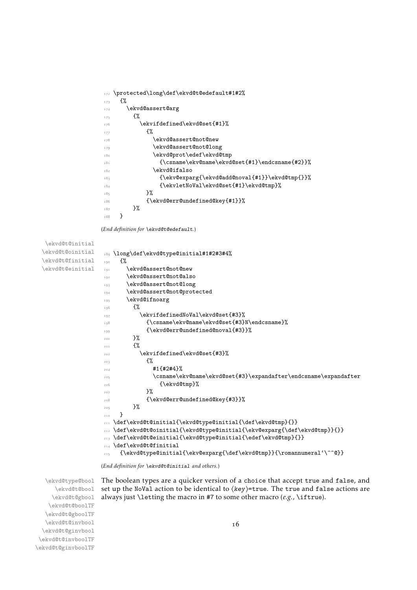```
172 \protected\long\def\ekvd@t@edefault#1#2%
173 \{%174 \ekvd@assert@arg
175 \{ \%176 \ekvifdefined\ekvd@set{#1}%
177 \{ \%178 \ekvd@assert@not@new
179 \ekvd@assert@not@long
180 \ekvd@prot\edef\ekvd@tmp
181 \{\cos n\neq \ell\geq \ell\leq \ell\leq \ell\leq \ell+1\}\text{182} \text{20}_{18} {\ekv@exparg{\ekvd@add@noval{#1}}\ekvd@tmp{}}%
184 {\ekvletNoVal\ekvd@set{#1}\ekvd@tmp}%
185 }%
186 \{ \ek{vd@err@undefined@key{#1}}\}187 }%
188 }
```
<span id="page-15-28"></span><span id="page-15-24"></span><span id="page-15-21"></span><span id="page-15-20"></span><span id="page-15-19"></span><span id="page-15-17"></span><span id="page-15-16"></span><span id="page-15-15"></span><span id="page-15-13"></span><span id="page-15-11"></span><span id="page-15-8"></span><span id="page-15-7"></span><span id="page-15-4"></span><span id="page-15-3"></span><span id="page-15-2"></span>(*End definition for* \ekvd@t@edefault*.*)

```
\ekvd@t@initial
\ekvd@t@oinitial
\ekvd@t@finitial
\ekvd@t@einitial
                 189 \long\def\ekvd@type@initial#1#2#3#4%
                 190 \frac{1}{2}191 \ekvd@assert@not@new
                 192 \ekvd@assert@not@also
                 193 \ekvd@assert@not@long
                 194 \ekvd@assert@not@protected
                 195 \ekvd@ifnoarg
                 106 \frac{1}{20}197 \ekvifdefinedNoVal\ekvd@set{#3}%
                 198 {\csname\ekv@name\ekvd@set{#3}N\endcsname}%
                 199 {\ekvd@err@undefined@noval{#3}}%
                 200 \, }%
                 201 \{ \%202 \ekvifdefined\ekvd@set{#3}%
                 203 \{ \%204 \frac{1}{4}1\{14244\}%
                 205 \csname\ekv@name\ekvd@set{#3}\expandafter\endcsname\expandafter
                 206 {\ekvd@tmp}%
                 207 }%
                 208 {\ekvd@err@undefined@key{#3}}%
                 209 \frac{1}{2}210 }
                 211 \def\ekvd@t@initial{\ekvd@type@initial{\def\ekvd@tmp}{}}
                 212 \def\ekvd@t@oinitial{\ekvd@type@initial{\ekv@exparg{\def\ekvd@tmp}}{}}
                 213 \def\ekvd@t@einitial{\ekvd@type@initial{\edef\ekvd@tmp}{}}
                 214 \def\ekvd@t@finitial
                 215 {\ekvd@type@initial{\ekv@exparg{\def\ekvd@tmp}}{\romannumeral'\^^@}}
```
<span id="page-15-27"></span><span id="page-15-26"></span><span id="page-15-25"></span><span id="page-15-18"></span><span id="page-15-9"></span><span id="page-15-6"></span><span id="page-15-5"></span><span id="page-15-1"></span>(*End definition for* \ekvd@t@initial *and others.*)

\ekvd@type@bool \ekvd@t@bool \ekvd@t@gbool \ekvd@t@boolTF \ekvd@t@gboolTF \ekvd@t@invbool \ekvd@t@ginvbool \ekvd@t@invboolTF \ekvd@t@ginvboolTF <span id="page-15-23"></span>The boolean types are a quicker version of a choice that accept true and false, and set up the NoVal action to be identical to  $\langle key \rangle$ =true. The true and false actions are always just \letting the macro in #7 to some other macro (*e.g.*, \iftrue).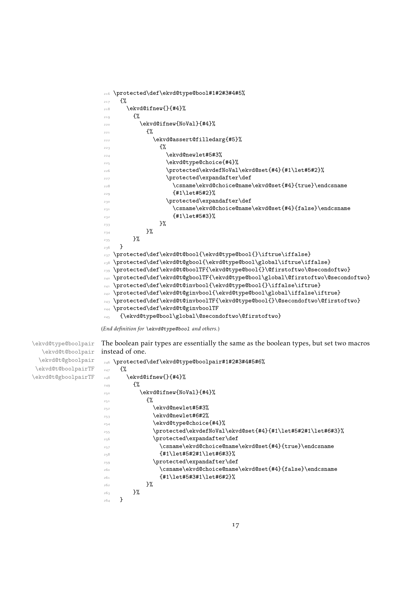```
216 \protected\def\ekvd@type@bool#1#2#3#4#5%
217 {%
218 \ekvd@ifnew{}{#4}%
219 \frac{10}{21}220 \ekvd@ifnew{NoVal}{#4}%
221 \{ \%222 \ekvd@assert@filledarg{#5}%
223 {%
224 \ekvd@newlet#5#3%
225 \ekvd@type@choice{#4}%
226 \protected\ekvdefNoVal\ekvd@set{#4}{#1\let#5#2}%
227 \protected\expandafter\def
228 \csname\ekvd@choice@name\ekvd@set{#4}{true}\endcsname
229 {#1\leq 45#2}%
230 \protected\expandafter\def
231 \csname\ekvd@choice@name\ekvd@set{#4}{false}\endcsname
232 {#1\leq#5#3}\frac{233}{2} }%
234 }%
235 }%
236 }
237 \protected\def\ekvd@t@bool{\ekvd@type@bool{}\iftrue\iffalse}
238 \protected\def\ekvd@t@gbool{\ekvd@type@bool\global\iftrue\iffalse}
239 \protected\def\ekvd@t@boolTF{\ekvd@type@bool{}\@firstoftwo\@secondoftwo}
240 \protected\def\ekvd@t@gboolTF{\ekvd@type@bool\global\@firstoftwo\@secondoftwo}
241 \protected\def\ekvd@t@invbool{\ekvd@type@bool{}\iffalse\iftrue}
242 \protected\def\ekvd@t@ginvbool{\ekvd@type@bool\global\iffalse\iftrue}
243 \protected\def\ekvd@t@invboolTF{\ekvd@type@bool{}\@secondoftwo\@firstoftwo}
244 \protected\def\ekvd@t@ginvboolTF
245 {\ekvd@type@bool\global\@secondoftwo\@firstoftwo}
```
(*End definition for* \ekvd@type@bool *and others.*)

\ekvd@type@boolpair \ekvd@t@boolpair \ekvd@t@gboolpair \ekvd@t@boolpairTF \ekvd@t@gboolpairTF

```
instead of one.
246 \protected\def\ekvd@type@boolpair#1#2#3#4#5#6%
_{247} {%
_{248} \ekvd@ifnew{}{#4}%
249 \{ \%250 \ekvd@ifnew{NoVal}{#4}%
251 \{ \%252 \text{ekvd@newlet#5#3\%}253 \ekvd@newlet#6#2%
254 \ekvd@type@choice{#4}%
255 \protected\ekvdefNoVal\ekvd@set{#4}{#1\let#5#2#1\let#6#3}%
256 \protected\expandafter\def
257 \csname\ekvd@choice@name\ekvd@set{#4}{true}\endcsname
_{258} {#1\leq#5#2#1\leq#6#3}259 \protected\expandafter\def
260 \csname\ekvd@choice@name\ekvd@set{#4}{false}\endcsname
_{261} {#1\leq#5#3#1\leq#6#2}262 }%
263 }%
264 }
```
<span id="page-16-14"></span>The boolean pair types are essentially the same as the boolean types, but set two macros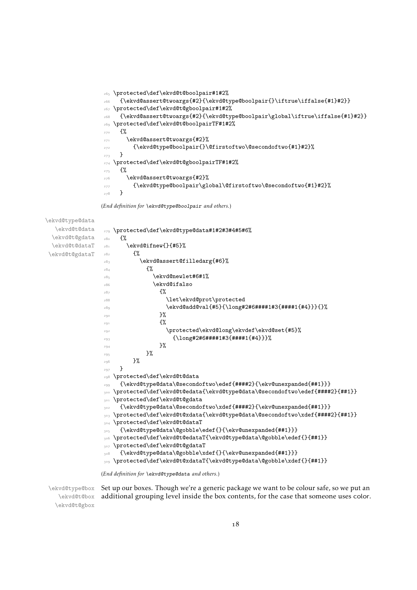```
265 \protected\def\ekvd@t@boolpair#1#2%
266 {\ekvd@assert@twoargs{#2}{\ekvd@type@boolpair{}\iftrue\iffalse{#1}#2}}
267 \protected\def\ekvd@t@gboolpair#1#2%
268 {\ekvd@assert@twoargs{#2}{\ekvd@type@boolpair\global\iftrue\iffalse{#1}#2}}
269 \protected\def\ekvd@t@boolpairTF#1#2%
270 \{ \%271 \ekvd@assert@twoargs{#2}%
272 {\ekvd@type@boolpair{}\@firstoftwo\@secondoftwo{#1}#2}%
273 }
274 \protected\def\ekvd@t@gboolpairTF#1#2%
275 \frac{1}{6}276 \ekvd@assert@twoargs{#2}%
277 {\ekvd@type@boolpair\global\@firstoftwo\@secondoftwo{#1}#2}%
278 }
```
<span id="page-17-16"></span><span id="page-17-14"></span><span id="page-17-13"></span><span id="page-17-12"></span><span id="page-17-11"></span><span id="page-17-10"></span><span id="page-17-6"></span><span id="page-17-5"></span>(*End definition for* \ekvd@type@boolpair *and others.*)

```
\ekvd@type@data
  \ekvd@t@data
 \ekvd@t@gdata
 \ekvd@t@dataT
 \ekvd@t@gdataT
                279 \protected\def\ekvd@type@data#1#2#3#4#5#6%
                280 f%
                281 \ekvd@ifnew{}{#5}%
                282 \{ \%283 \ekvd@assert@filledarg{#6}%
                284 \{ \%285 \ekvd@newlet#6#1%
                286 \ekvd@ifalso
                287 \{ \%288 \let\ekvd@prot\protected
                \text{289} \ekvd@add@val{#5}{\long#2#6####1#3{####1{#4}}}{}%
                290 \frac{1}{2}%
                291 \{ \%292 \protected\ekvd@long\ekvdef\ekvd@set{#5}%
                293 {\long#2#6####1#3{####1{#4}}}%
                294 \frac{1}{294}295 }%
                296 }%
                297 }
                298 \protected\def\ekvd@t@data
                299 {\ekvd@type@data\@secondoftwo\edef{####2}{\ekv@unexpanded{##1}}}
                300 \protected\def\ekvd@t@edata{\ekvd@type@data\@secondoftwo\edef{####2}{##1}}
                301 \protected\def\ekvd@t@gdata
                302 {\ekvd@type@data\@secondoftwo\xdef{####2}{\ekv@unexpanded{##1}}}
                303 \protected\def\ekvd@t@xdata{\ekvd@type@data\@secondoftwo\xdef{####2}{##1}}
                304 \protected\def\ekvd@t@dataT
                305 {\ekvd@type@data\@gobble\edef{}{\ekv@unexpanded{##1}}}
                306 \protected\def\ekvd@t@edataT{\ekvd@type@data\@gobble\edef{}{##1}}
                307 \protected\def\ekvd@t@gdataT
                    308 {\ekvd@type@data\@gobble\xdef{}{\ekv@unexpanded{##1}}}
                309 \protected\def\ekvd@t@xdataT{\ekvd@type@data\@gobble\xdef{}{##1}}
```
<span id="page-17-20"></span><span id="page-17-19"></span><span id="page-17-18"></span><span id="page-17-17"></span><span id="page-17-15"></span><span id="page-17-4"></span><span id="page-17-3"></span><span id="page-17-2"></span><span id="page-17-1"></span>(*End definition for* \ekvd@type@data *and others.*)

\ekvd@type@box \ekvd@t@box \ekvd@t@gbox Set up our boxes. Though we're a generic package we want to be colour safe, so we put an additional grouping level inside the box contents, for the case that someone uses color.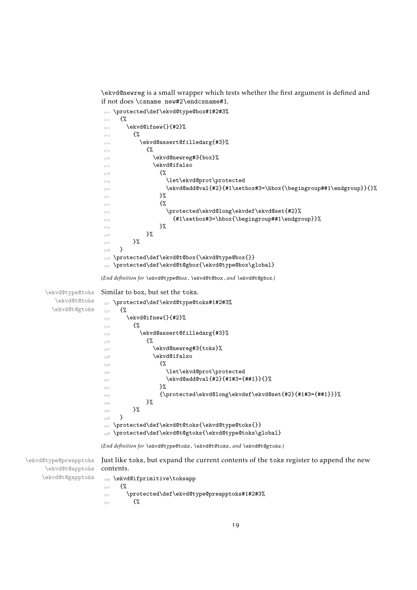<span id="page-18-13"></span><span id="page-18-11"></span><span id="page-18-8"></span><span id="page-18-6"></span><span id="page-18-4"></span><span id="page-18-2"></span><span id="page-18-0"></span>\ekvd@newreg is a small wrapper which tests whether the first argument is defined and if not does \csname new#2\endcsname#1.

```
310 \protected\def\ekvd@type@box#1#2#3%
                     311 \{%312 \ekvd@ifnew{}{#2}%
                     313 \{%314 \ekvd@assert@filledarg{#3}%
                     315 \{ \%316 \ekvd@newreg#3{box}%
                     317 \ekvd@ifalso
                     318 \{ \%319 \let\ekvd@prot\protected
                     \text{320} \ekvd@add@val{#2}{#1\setbox#3=\hbox{\begingroup##1\endgroup}}{}%
                     3^{21} }%
                     3^{22} \{ \%323 \protected\ekvd@long\ekvdef\ekvd@set{#2}%
                     \{ \#1 \setminus \#3 \} {\begingroup##1\endgroup}}
                     325 }%
                     326 }%
                     327 }%
                     328 }
                     329 \protected\def\ekvd@t@box{\ekvd@type@box{}}
                     330 \protected\def\ekvd@t@gbox{\ekvd@type@box\global}
                    (End definition for \ekvd@type@box , \ekvd@t@box , and \ekvd@t@gbox.)
     \ekvd@type@toks
        \ekvd@t@toks
       \ekvd@t@gtoks
                    Similar to box, but set the toks.
                     331 \protected\def\ekvd@type@toks#1#2#3%
                     332 {%
                     333 \ekvd@ifnew{}{#2}%
                     334 \{%
                     335 \ekvd@assert@filledarg{#3}%
                     336 \{ \%337 \ekvd@newreg#3{toks}%
                     338 \ekvd@ifalso
                     339 \{ \%340 \let\ekvd@prot\protected
                     \text{341} \ekvd@add@val{#2}{#1#3={##1}}{}%
                     342 } }343 {\protected\ekvd@long\ekvdef\ekvd@set{#2}{#1#3={##1}}}%
                     344 }%
                     345 }%
                     346347 \protected\def\ekvd@t@toks{\ekvd@type@toks{}}
                     348 \protected\def\ekvd@t@gtoks{\ekvd@type@toks\global}
                    (End definition for \ekvd@type@toks , \ekvd@t@toks , and \ekvd@t@gtoks.)
\ekvd@type@preapptoks
     \ekvd@t@apptoks
    \ekvd@t@gapptoks
                    Just like toks, but expand the current contents of the toks register to append the new
                    contents.
                     349 \ekvd@ifprimitive\toksapp
                     350 {%
                     \frac{351}{351} \protected\def\ekvd@type@preapptoks#1#2#3%
                     352 \{%
```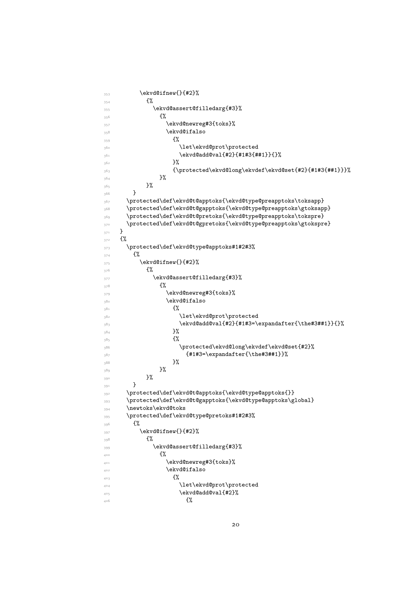```
353 \ekvd@ifnew{}{#2}%
354 \{ \%355 \ekvd@assert@filledarg{#3}%
356 \{ \%357 \ekvd@newreg#3{toks}%
358 \ekvd@ifalso
359 \{ \%360 \let\ekvd@prot\protected
\text{361} \ekvd@add@val{#2}{#1#3{##1}}{}%
3^{62} }%
363 {\protected\ekvd@long\ekvdef\ekvd@set{#2}{#1#3{##1}}}%
364 }%
365 }%
366 }
367 \protected\def\ekvd@t@apptoks{\ekvd@type@preapptoks\toksapp}
368 \protected\def\ekvd@t@gapptoks{\ekvd@type@preapptoks\gtoksapp}
369 \protected\def\ekvd@t@pretoks{\ekvd@type@preapptoks\tokspre}
370 \protected\def\ekvd@t@gpretoks{\ekvd@type@preapptoks\gtokspre}
371 }
372 \frac{8}{6}373 \protected\def\ekvd@type@apptoks#1#2#3%
374 \{ \%375 \ekvd@ifnew{}{#2}%
376 \{ \%377 \ekvd@assert@filledarg{#3}%
378 \{ \%379 \ekvd@newreg#3{toks}%
380 \text{ekvd}aiso
3^{81} \{ \%382 \let\ekvd@prot\protected
\text{383} \ \text{ekvd@add@val{#2}{#1#3}=\exp\text{the#3##1}}\3^{84} }%
3^{85} \{ \%386 \protected\ekvd@long\ekvdef\ekvd@set{#2}%
_{387} {#1#3=\exp{ter{\theta#3#41}}\}3^{88} }%
389 } }390 }%
391 }
392 \protected\def\ekvd@t@apptoks{\ekvd@type@apptoks{}}
393 \protected\def\ekvd@t@gapptoks{\ekvd@type@apptoks\global}
394 \newtoks\ekvd@toks
395 \protected\def\ekvd@type@pretoks#1#2#3%
396 {%
397 \ekvd@ifnew{}{#2}%
398399 \ekvd@assert@filledarg{#3}%
\overline{400} \overline{4\%}401 \ekvd@newreg#3{toks}%
402 \ekvd@ifalso
403 \{ \%404 404 \let\ekvd@prot\protected
\text{405} \ekvd@add@val{#2}%
406
```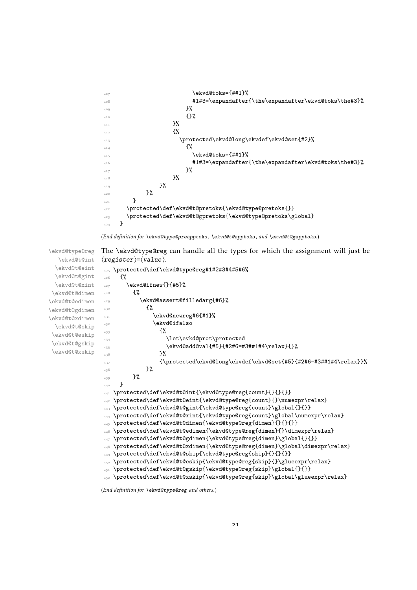```
\text{A}408 #1#3=\expandafter{\the\expandafter\ekvd@toks\the#3}%
\frac{1}{2}%
\{ \} \%\frac{1}{411} }%
412 \{ \}413 \protected\ekvd@long\ekvdef\ekvd@set{#2}%
414 \{ \%415 \ekvd@toks={##1}%
\texttt{143}=\exp\{t\the\exp\} \texttt{3} \texttt{416}417 }%
418 }%
419 } }420 }%
421 }
\frac{422}{\text{ptoted}\def\ekvd@t@prebks{\ekvd@type@prebks{}}}423 \protected\def\ekvd@t@gpretoks{\ekvd@type@pretoks\global}
424 }
```

```
(End definition for \ekvd@type@preapptoks , \ekvd@t@apptoks , and \ekvd@t@gapptoks.)
```
\ekvd@type@reg \ekvd@t@int The \ekvd@type@reg can handle all the types for which the assignment will just be ⟨register⟩=⟨value⟩.

```
\ekvd@t@eint
 \ekvd@t@gint
 \ekvd@t@xint
\ekvd@t@dimen
\ekvd@t@edimen
\ekvd@t@gdimen
\ekvd@t@xdimen
 \ekvd@t@skip
\ekvd@t@eskip
\ekvd@t@gskip
\ekvd@t@xskip
               425 \protected\def\ekvd@type@reg#1#2#3#4#5#6%
               426 \{ \%_{427} \ekvd@ifnew{}{#5}%
               428 \{ \%429 \ekvd@assert@filledarg{#6}%
               430 \, \mathcal{S}431 \text{ekvd@newreg#6{#1}}432 \text{ekvddifalso}433 \{ \%434 \let\evkd@prot\protected
                \text{435} \ekvd@add@val{#5}{#2#6=#3##1#4\relax}{}%
                436 \frac{1}{2}%
                {\pmod{\ek{vd0}}ekvd{\ek{vd0}}ekvd{\ek{dd5}}{#2#6=#3##1#4{\re1ax}}}%
                438 }%
                439 }%
                440 }
                441 \protected\def\ekvd@t@int{\ekvd@type@reg{count}{}{}{}}
                   \protected\def\ekvd@t@eint{\ekvd@type@reg{count}{}\numexpr\relax}
                443 \protected\def\ekvd@t@gint{\ekvd@type@reg{count}\global{}{}}
                444 \protected\def\ekvd@t@xint{\ekvd@type@reg{count}\global\numexpr\relax}
                445 \protected\def\ekvd@t@dimen{\ekvd@type@reg{dimen}{}{}{}}
                446 \protected\def\ekvd@t@edimen{\ekvd@type@reg{dimen}{}\dimexpr\relax}
                447 \protected\def\ekvd@t@gdimen{\ekvd@type@reg{dimen}\global{}{}}
                448 \protected\def\ekvd@t@xdimen{\ekvd@type@reg{dimen}\global\dimexpr\relax}
               449 \protected\def\ekvd@t@skip{\ekvd@type@reg{skip}{}{}{}}
               450 \protected\def\ekvd@t@eskip{\ekvd@type@reg{skip}{}\glueexpr\relax}
               451 \protected\def\ekvd@t@gskip{\ekvd@type@reg{skip}\global{}{}}
                452 \protected\def\ekvd@t@xskip{\ekvd@type@reg{skip}\global\glueexpr\relax}
```
(*End definition for* \ekvd@type@reg *and others.*)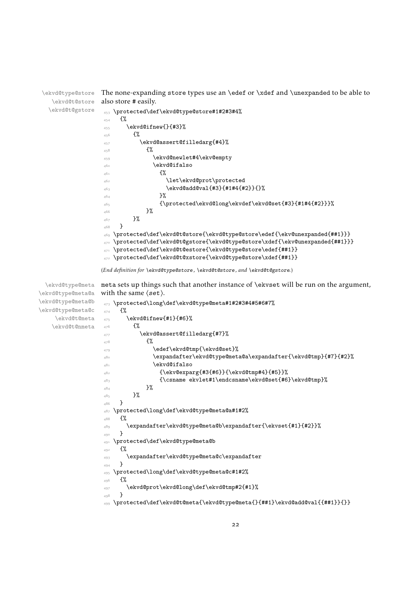```
\ekvd@type@store
   \ekvd@t@store
  \ekvd@t@gstore
                  The none-expanding store types use an \edef or \xdef and \unexpanded to be able to
                  also store # easily.
                   453 \protected\def\ekvd@type@store#1#2#3#4%
                   454 \frac{1}{2}455 \ekvd@ifnew{}{#3}%
```

```
456 \frac{100}{100}457 \ekvd@assert@filledarg{#4}%
458 \{ \%459 \ekvd@newlet#4\ekv@empty
460 \text{ekvddifalso}461 \{ \%462 \let\ekvd@prot\protected
\text{463} \ekvd@add@val{#3}{#1#4{#2}}{}%
464 \frac{1}{464}{\pmb{\quad\epsilon\ekvd@long\ekvdef\ekvd@set{#3}{#1#4{#2}}}%
466 }%
467 }%
468 }
469 \protected\def\ekvd@t@store{\ekvd@type@store\edef{\ekv@unexpanded{##1}}}
470 \protected\def\ekvd@t@gstore{\ekvd@type@store\xdef{\ekv@unexpanded{##1}}}
471 \protected\def\ekvd@t@estore{\ekvd@type@store\edef{##1}}
472 \protected\def\ekvd@t@xstore{\ekvd@type@store\xdef{##1}}
```
<span id="page-21-21"></span><span id="page-21-20"></span><span id="page-21-18"></span><span id="page-21-13"></span><span id="page-21-9"></span><span id="page-21-5"></span><span id="page-21-4"></span><span id="page-21-0"></span>(*End definition for* \ekvd@type@store *,* \ekvd@t@store *, and* \ekvd@t@gstore*.*)

\ekvd@type@meta \ekvd@type@meta@a meta sets up things such that another instance of \ekvset will be run on the argument, with the same  $\langle set \rangle$ .

```
\ekvd@type@meta@b
\ekvd@type@meta@c
    \ekvd@t@meta
   \ekvd@t@nmeta
                  473 \protected\long\def\ekvd@type@meta#1#2#3#4#5#6#7%
                  474 {%
                  _{475} \ekvd@ifnew{#1}{#6}%
                  476 \mathcal{H}477 \ekvd@assert@filledarg{#7}%
                  478 \{ \%479 \edef\ekvd@tmp{\ekvd@set}%
                  480 \expandafter\ekvd@type@meta@a\expandafter{\ekvd@tmp}{#7}{#2}%
                  481 \ekvd@ifalso
                  _{482} {\ekv@exparg{#3{#6}}{\ekvd@tmp#4}{#5}}%
                  483 {\csname ekvlet#1\endcsname\ekvd@set{#6}\ekvd@tmp}%
                  484 }%
                  485 }%
                  486 }
                  487 \protected\long\def\ekvd@type@meta@a#1#2%
                  488
                  489 \expandafter\ekvd@type@meta@b\expandafter{\ekvset{#1}{#2}}%
                  490 }
                  491 \protected\def\ekvd@type@meta@b
                  492 \{ \%493 \expandafter\ekvd@type@meta@c\expandafter
                  494495 \protected\long\def\ekvd@type@meta@c#1#2%
                  496 \frac{1}{4}497 \ekvd@prot\ekvd@long\def\ekvd@tmp#2{#1}%
                  498 }
                  499 \protected\def\ekvd@t@meta{\ekvd@type@meta{}{##1}\ekvd@add@val{{##1}}{}}
```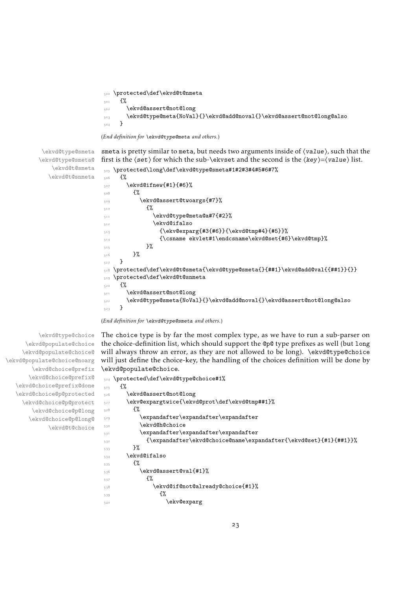```
\protected\def\ekvd@t@nmeta
501 \{%502 \ekvd@assert@not@long
503 \ekvd@type@meta{NoVal}{}\ekvd@add@noval{}\ekvd@assert@not@long@also
504 }
```
<span id="page-22-3"></span>(*End definition for* \ekvd@type@meta *and others.*)

\ekvd@type@smeta \ekvd@type@smeta@ \ekvd@t@smeta \ekvd@t@snmeta smeta is pretty similar to meta, but needs two arguments inside of  $\langle value \rangle$ , such that the

```
first is the \langle \text{set} \rangle for which the sub-\langle \text{set} \rangle and the second is the \langle \text{key} \rangle = \langle \text{value} \rangle list.
 505 \protected\long\def\ekvd@type@smeta#1#2#3#4#5#6#7%
506 \frac{1}{20}507 \ekvd@ifnew{#1}{#6}%
 \mathcal{L}509 \ekvd@assert@twoargs{#7}%
510 \{ \%511 \text{ekvd@type@meta@a#7\{#2}\%\sum_{512} \ekvd@ifalso
_{513} {\ekv@exparg{#3{#6}}{\ekvd@tmp#4}{#5}}%
 514 {\csname ekvlet#1\endcsname\ekvd@set{#6}\ekvd@tmp}%
 515 }%
516 }%
517 }
518 \protected\def\ekvd@t@smeta{\ekvd@type@smeta{}{##1}\ekvd@add@val{{##1}}{}}
519 \protected\def\ekvd@t@snmeta
520 \{ \%521 \ekvd@assert@not@long
522 \ekvd@type@smeta{NoVal}{}\ekvd@add@noval{}\ekvd@assert@not@long@also
523 }
```
<span id="page-22-7"></span><span id="page-22-5"></span><span id="page-22-4"></span>(*End definition for* \ekvd@type@smeta *and others.*)

<span id="page-22-12"></span>The choice type is by far the most complex type, as we have to run a sub-parser on the choice-definition list, which should support the @p@ type prefixes as well (but long will always throw an error, as they are not allowed to be long). \ekvd@type@choice will just define the choice-key, the handling of the choices definition will be done by \ekvd@populate@choice.

```
524 \protected\def\ekvd@type@choice#1%
525 \frac{1}{6}526 \ekvd@assert@not@long
527 \ekv@expargtwice{\ekvd@prot\def\ekvd@tmp##1}%
528 \{ \%529 \expandafter\expandafter\expandafter
530 \ekvd@h@choice
531 \text{b} \text{b}532 {\expandafter\ekvd@choice@name\expandafter{\ekvd@set}{#1}{##1}}%
533 }%
534 \ekvd@ifalso
535 {%
_{536} \ekvd@assert@val{#1}%
537 \{ \%538 \ekvd@if@not@already@choice{#1}%
539 \{ \%540 \ekv@exparg
```
\ekvd@type@choice \ekvd@populate@choice \ekvd@populate@choice@ \ekvd@populate@choice@noarg \ekvd@choice@prefix \ekvd@choice@prefix@ \ekvd@choice@prefix@done \ekvd@choice@p@protected \ekvd@choice@p@protect \ekvd@choice@p@long \ekvd@choice@p@long@ \ekvd@t@choice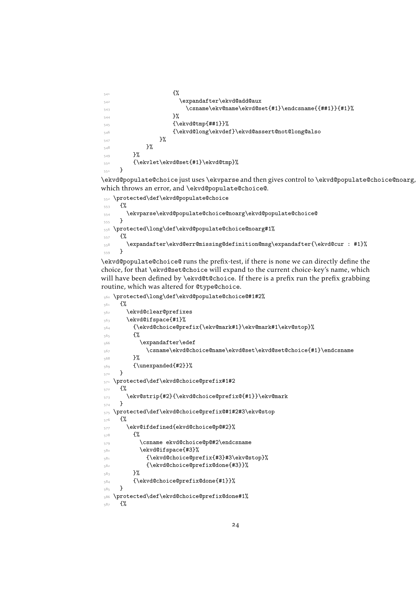```
541 \{ \%542 \expandafter\ekvd@add@aux
543 \csname\ekv@name\ekvd@set{#1}\endcsname{{##1}}{#1}%
\frac{1}{2} \frac{1}{2} \frac{1}{2} \frac{1}{2} \frac{1}{2} \frac{1}{2} \frac{1}{2} \frac{1}{2} \frac{1}{2} \frac{1}{2} \frac{1}{2} \frac{1}{2} \frac{1}{2} \frac{1}{2} \frac{1}{2} \frac{1}{2} \frac{1}{2} \frac{1}{2} \frac{1}{2} \frac{1}{2} \frac{1}{2} \frac{1}{2} 545 \{\text{ckvdQtmp}^{##1}\}\546 {\ekvd@long\ekvdef}\ekvd@assert@not@long@also
547 }%
548 }%
549 }%
550 {\ekvlet\ekvd@set{#1}\ekvd@tmp}%
551 }
```
<span id="page-23-1"></span>\ekvd@populate@choice just uses \ekvparse and then gives control to \ekvd@populate@choice@noarg, which throws an error, and \ekvd@populate@choice@.

```
552 \protected\def\ekvd@populate@choice
553 \frac{1}{2}554 \ekvparse\ekvd@populate@choice@noarg\ekvd@populate@choice@
555 }
556 \protected\long\def\ekvd@populate@choice@noarg#1%
557 {%
558 \expandafter\ekvd@err@missing@definition@msg\expandafter{\ekvd@cur : #1}%
559 }
```
<span id="page-23-12"></span>\ekvd@populate@choice@ runs the prefix-test, if there is none we can directly define the choice, for that \ekvd@set@choice will expand to the current choice-key's name, which will have been defined by \ekvd@t@choice. If there is a prefix run the prefix grabbing routine, which was altered for @type@choice.

```
560 \protected\long\def\ekvd@populate@choice@#1#2%
561 \frac{8}{3}562 \ekvd@clear@prefixes
563 \ekvd@ifspace{#1}%
564 {\ekvd@choice@prefix{\ekv@mark#1}\ekv@mark#1\ekv@stop}%
565 \frac{5}{5}566 \expandafter\edef
567 \csname\ekvd@choice@name\ekvd@set\ekvd@set@choice{#1}\endcsname
568 }%
569 {\unexpanded{#2}}%
570 }
571 \protected\def\ekvd@choice@prefix#1#2
572 \{ \%573 \ekv@strip{#2}{\ekvd@choice@prefix@{#1}}\ekv@mark
574 }
575 \protected\def\ekvd@choice@prefix@#1#2#3\ekv@stop
576 {%
577 \ekv@ifdefined{ekvd@choice@p@#2}%
578 \{ \%579 \csname ekvd@choice@p@#2\endcsname
580 \ekvd@ifspace{#3}%
581 {\ekvd@choice@prefix{#3}#3\ekv@stop}%
582 {\ekvd@choice@prefix@done{#3}}%
583 }%
584 {\ekvd@choice@prefix@done{#1}}%
585 }
586 \protected\def\ekvd@choice@prefix@done#1%
587 \frac{8}{10}
```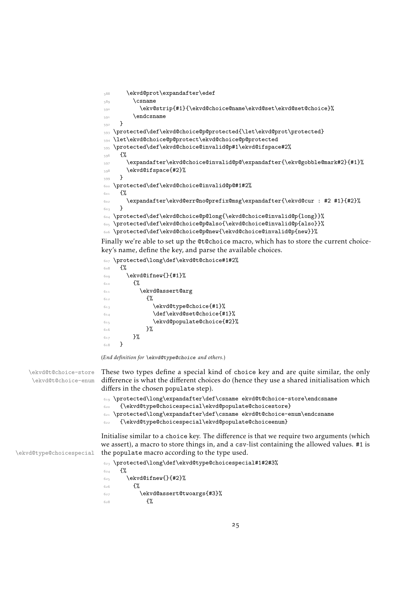```
588 \ekvd@prot\expandafter\edef
589 \csname
590 \ekv@strip{#1}{\ekvd@choice@name\ekvd@set\ekvd@set@choice}%
591 \endcsname
592 }
593 \protected\def\ekvd@choice@p@protected{\let\ekvd@prot\protected}
594 \let\ekvd@choice@p@protect\ekvd@choice@p@protected
595 \protected\def\ekvd@choice@invalid@p#1\ekvd@ifspace#2%
596 \frac{1}{6}597 \expandafter\ekvd@choice@invalid@p@\expandafter{\ekv@gobble@mark#2}{#1}%
598 \ekvd@ifspace{#2}%
599 }
600 \protected\def\ekvd@choice@invalid@p@#1#2%
601 \frac{1}{60}602 \expandafter\ekvd@err@no@prefix@msg\expandafter{\ekvd@cur : #2 #1}{#2}%
603 - \frac{1}{2}604 \protected\def\ekvd@choice@p@long{\ekvd@choice@invalid@p{long}}%
605 \protected\def\ekvd@choice@p@also{\ekvd@choice@invalid@p{also}}%
606 \protected\def\ekvd@choice@p@new{\ekvd@choice@invalid@p{new}}%
```
<span id="page-24-12"></span><span id="page-24-9"></span><span id="page-24-8"></span><span id="page-24-7"></span><span id="page-24-6"></span><span id="page-24-5"></span>Finally we're able to set up the @t@choice macro, which has to store the current choicekey's name, define the key, and parse the available choices.

```
607 \protected\long\def\ekvd@t@choice#1#2%
608 f%
609 \ekvd@ifnew{}{#1}%
610 \{ \%611 \ekvd@assert@arg
612 \{ \%613 \ekvd@type@choice{#1}%
614 \text{def}\text{Q}\text{Set}\text{Cohoice}_{\text{#1}}\text{?}615 \ekvd@populate@choice{#2}%
616 }%
617 }%
618 }
```
<span id="page-24-18"></span><span id="page-24-17"></span>(*End definition for* \ekvd@type@choice *and others.*)

\ekvd@t@choice-store \ekvd@t@choice-enum These two types define a special kind of choice key and are quite similar, the only difference is what the different choices do (hence they use a shared initialisation which differs in the chosen populate step).

```
619 \protected\long\expandafter\def\csname ekvd@t@choice-store\endcsname
```

```
620 {\ekvd@type@choicespecial\ekvd@populate@choicestore}
```
\protected\long\expandafter\def\csname ekvd@t@choice-enum\endcsname

<span id="page-24-13"></span>{\ekvd@type@choicespecial\ekvd@populate@choiceenum}

Initialise similar to a choice key. The difference is that we require two arguments (which we assert), a macro to store things in, and a csv-list containing the allowed values. #1 is the populate macro according to the type used.

```
623 \protected\long\def\ekvd@type@choicespecial#1#2#3%
624 f%
625 \ekvd@ifnew{}{#2}%
```

```
626 \{ \%627 \ekvd@assert@twoargs{#3}%
```

```
628 \{%
```
\ekvd@type@choicespecial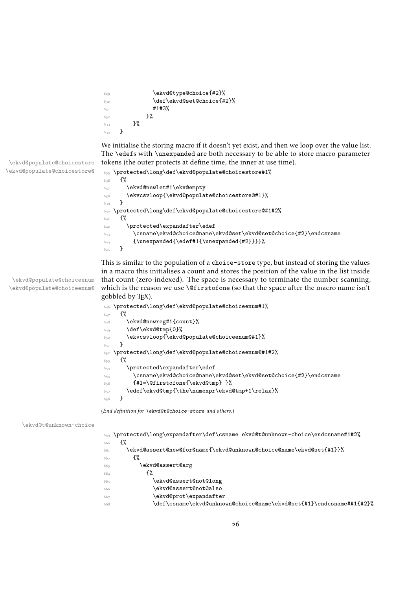```
629 \ekvd@type@choice{#2}%
630 \text{def}\text{Q}set@choice{#2}%
631 \frac{41}{3\%}632 }%
633 }%
634 }
```
<span id="page-25-11"></span>We initialise the storing macro if it doesn't yet exist, and then we loop over the value list. The \edefs with \unexpanded are both necessary to be able to store macro parameter tokens (the outer protects at define time, the inner at use time).

```
635 \protected\long\def\ekvd@populate@choicestore#1%
636 {%
637 \ekvd@newlet#1\ekv@empty
638 \ekvcsvloop{\ekvd@populate@choicestore@#1}%
639 }
640 \protected\long\def\ekvd@populate@choicestore@#1#2%
641 {%
642 \protected\expandafter\edef
\texttt{643} \label{c:sample} $$\frac{1}{\unexpanded{\edf#1}{\unexpandedf#2}}}\645 }
```
\ekvd@populate@choiceenum \ekvd@populate@choiceenum@ <span id="page-25-10"></span><span id="page-25-7"></span>This is similar to the population of a choice-store type, but instead of storing the values in a macro this initialises a count and stores the position of the value in the list inside that count (zero-indexed). The space is necessary to terminate the number scanning, which is the reason we use \@firstofone (so that the space after the macro name isn't gobbled by TFX).

<span id="page-25-16"></span><span id="page-25-9"></span><span id="page-25-1"></span>

| 646 | \protected\long\def\ekvd@populate@choiceenum#1%                 |
|-----|-----------------------------------------------------------------|
| 647 | £%                                                              |
| 648 | \ekvd@newreg#1{count}%                                          |
| 649 | \def\ekvd@tmp{0}%                                               |
| 650 | \ekvcsvloop{\ekvd@populate@choiceenum@#1}%                      |
| 651 |                                                                 |
| 652 | \protected\long\def\ekvd@populate@choiceenum@#1#2%              |
| 653 | ₹%                                                              |
| 654 | \protected\expandafter\edef                                     |
| 655 | \csname\ekvd@choice@name\ekvd@set\ekvd@set@choice{#2}\endcsname |
| 656 | {#1=\@firstofone{\ekvd@tmp} }%                                  |
| 657 | \edef\ekvd@tmp{\the\numexpr\ekvd@tmp+1\relax}%                  |
| 658 |                                                                 |
|     |                                                                 |

<span id="page-25-18"></span><span id="page-25-17"></span><span id="page-25-15"></span><span id="page-25-8"></span>(*End definition for* \ekvd@t@choice-store *and others.*)

#### \ekvd@t@unknown-choice

<span id="page-25-13"></span><span id="page-25-12"></span><span id="page-25-6"></span><span id="page-25-5"></span><span id="page-25-4"></span><span id="page-25-3"></span>

| 659 | \protected\long\expandafter\def\csname ekvd@t@unknown-choice\endcsname#1#2%\ |
|-----|------------------------------------------------------------------------------|
| 660 | £%                                                                           |
| 661 | \ekvd@assert@new@for@name{\ekvd@unknown@choice@name\ekvd@set{#1}}%           |
| 662 | £%                                                                           |
| 663 | \ekvd@assert@arg                                                             |
| 664 | ł%                                                                           |
| 665 | \ekvd@assert@not@long                                                        |
| 666 | ekvd@assert@not@also\                                                        |
| 667 | \ekvd@prot\expandafter                                                       |
| 668 | \def\csname\ekvd@unknown@choice@name\ekvd@set{#1}\endcsname##1{#2}%          |
|     |                                                                              |

\ekvd@populate@choicestore \ekvd@populate@choicestore@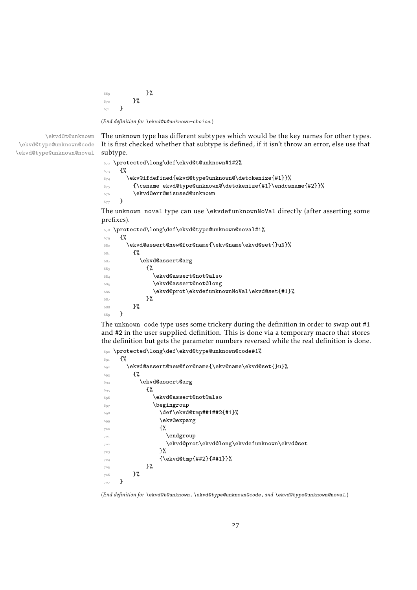$669$  }%  $670$  }%  $671$  }

(*End definition for* \ekvd@t@unknown-choice*.*)

\ekvd@t@unknown \ekvd@type@unknown@code \ekvd@type@unknown@noval

<span id="page-26-12"></span>The unknown type has different subtypes which would be the key names for other types. It is first checked whether that subtype is defined, if it isn't throw an error, else use that subtype.

```
672 \protected\long\def\ekvd@t@unknown#1#2%
6_{73} {%
\begin{array}{lll} \texttt{674} & \texttt{ekv@ifdefined} \texttt{ekv@type@unknown@\det\! \texttt{41}} \texttt{?} \end{array}675 {\csname ekvd@type@unknown@\detokenize{#1}\endcsname{#2}}%
676 \ekvd@err@misused@unknown
677 }
```
<span id="page-26-11"></span>The unknown noval type can use \ekvdefunknownNoVal directly (after asserting some prefixes).

```
678 \protected\long\def\ekvd@type@unknown@noval#1%
679 \{ \%680 \ekvd@assert@new@for@name{\ekv@name\ekvd@set{}uN}%
681 {%
682 \ekvd@assert@arg
683 {%
684 \ekvd@assert@not@also
685 \ekvd@assert@not@long
686 \ekvd@prot\ekvdefunknownNoVal\ekvd@set{#1}%
687 }%
688 }%
689 }
```
<span id="page-26-10"></span><span id="page-26-1"></span>The unknown code type uses some trickery during the definition in order to swap out #1 and #2 in the user supplied definition. This is done via a temporary macro that stores the definition but gets the parameter numbers reversed while the real definition is done.

```
690 \protected\long\def\ekvd@type@unknown@code#1%
691 \{%692 \ekvd@assert@new@for@name{\ekv@name\ekvd@set{}u}%
693 \{%694 \ekvd@assert@arg
695 \{ \%696 \ekvd@assert@not@also
697 \begingroup
698 \text{det}\text{curl}\#1\#42\{ \#1 \}699 \ekv@exparg
700 \{ \%701 \endgroup
702 \ekvd@prot\ekvd@long\ekvdefunknown\ekvd@set
7^{\circ}3 }%
704 {\ekvd@tmp{##2}{##1}}%
705 }%
706 }%
707 }
```
<span id="page-26-14"></span><span id="page-26-0"></span>(*End definition for* \ekvd@t@unknown *,* \ekvd@type@unknown@code *, and* \ekvd@type@unknown@noval*.*)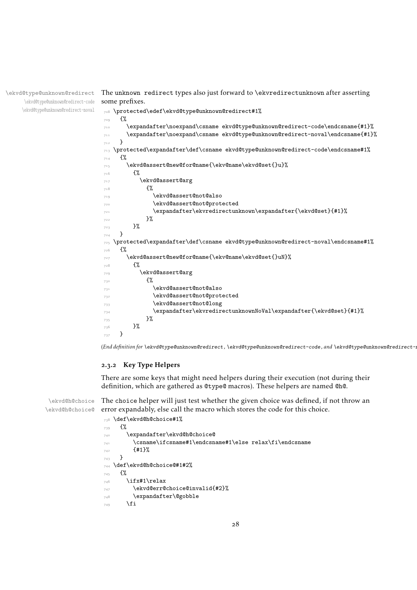\ekvd@type@unknown@redirect \ekvd@type@unknown@redirect-code \ekvd@type@unknown@redirect-noval

<span id="page-27-16"></span>The unknown redirect types also just forward to \ekvredirectunknown after asserting some prefixes.

```
708 \protected\edef\ekvd@type@unknown@redirect#1%
709 {%
710 \expandafter\noexpand\csname ekvd@type@unknown@redirect-code\endcsname{#1}%
711 \expandafter\noexpand\csname ekvd@type@unknown@redirect-noval\endcsname{#1}%
712 }
713 \protected\expandafter\def\csname ekvd@type@unknown@redirect-code\endcsname#1%
714 {%
715 \ekvd@assert@new@for@name{\ekv@name\ekvd@set{}u}%
716 \{ \%717 \ekvd@assert@arg
718 \{ \%719 \ekvd@assert@not@also
             \ekvd@assert@not@protected
721 \expandafter\ekvredirectunknown\expandafter{\ekvd@set}{#1}%
722 }%
723 }%
724 }
725 \protected\expandafter\def\csname ekvd@type@unknown@redirect-noval\endcsname#1%
726 \{%
727 \ekvd@assert@new@for@name{\ekv@name\ekvd@set{}uN}%
728 \{ \%729 \ekvd@assert@arg
730 \{ \%731 \ekvd@assert@not@also
732 \ekvd@assert@not@protected
733 \ekvd@assert@not@long
734 \expandafter\ekvredirectunknownNoVal\expandafter{\ekvd@set}{#1}%
735 }%
736 }%
737 }
```
<span id="page-27-13"></span><span id="page-27-11"></span><span id="page-27-10"></span><span id="page-27-8"></span><span id="page-27-6"></span><span id="page-27-2"></span>(*End definition for* \ekvd@type@unknown@redirect *,* \ekvd@type@unknown@redirect-code *, and* \ekvd@type@unknown@redirect-noval*.*)

#### <span id="page-27-0"></span>.3.2 Key Type Helpers

There are some keys that might need helpers during their execution (not during their definition, which are gathered as @type@ macros). These helpers are named @h@.

\ekvd@h@choice \ekvd@h@choice@

<span id="page-27-15"></span>The choice helper will just test whether the given choice was defined, if not throw an error expandably, else call the macro which stores the code for this choice.

```
738 \def\ekvd@h@choice#1%
739 \frac{1}{2}740 \expandafter\ekvd@h@choice@
741 \csname\ifcsname#1\endcsname#1\else relax\fi\endcsname
742 {#1}%
743 }
744 \def\ekvd@h@choice@#1#2%
745 {%
_{746} \ifx#1\relax
747 \ekvd@err@choice@invalid{#2}%
748 \expandafter\@gobble
740 \text{ }\Lambda \text{fi}
```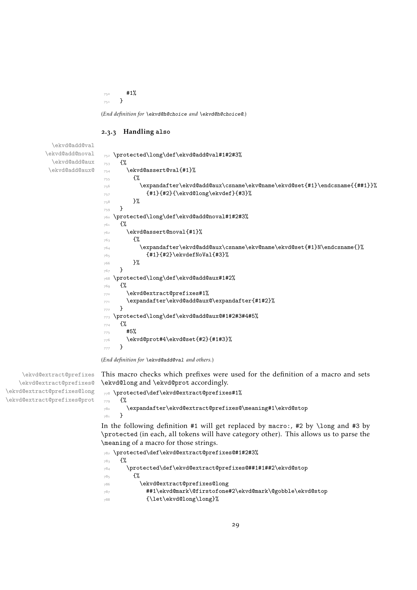#1% }

(*End definition for* \ekvd@h@choice *and* \ekvd@h@choice@*.*)

#### <span id="page-28-7"></span><span id="page-28-6"></span><span id="page-28-5"></span><span id="page-28-3"></span><span id="page-28-1"></span><span id="page-28-0"></span>.3.3 Handling **also**

```
\ekvd@add@val
\ekvd@add@noval
 \ekvd@add@aux
\ekvd@add@aux@
                 752 \protected\long\def\ekvd@add@val#1#2#3%
                 753 {%
                 754 \ekvd@assert@val{#1}%
                 755 \left\{\% \right\}756 \expandafter\ekvd@add@aux\csname\ekv@name\ekvd@set{#1}\endcsname{{##1}}%
                 _{757} {#1}{#2}{\text{ekvd@long\text{ekvdef}}{#3}}758 }%
                 759 }
                 760 \protected\long\def\ekvd@add@noval#1#2#3%
                 761 {%
                 762 \ekvd@assert@noval{#1}%
                 763 \{ \%764 \expandafter\ekvd@add@aux\csname\ekv@name\ekvd@set{#1}N\endcsname{}%
                 _{765} {#1}{#2}\\ek{vdefNoVal{#3}\%766 }%
                 767 }
                 768 \protected\long\def\ekvd@add@aux#1#2%
                 769 \{ \%770 \ekvd@extract@prefixes#1%
                 771 \expandafter\ekvd@add@aux@\expandafter{#1#2}%
                 772 }
                 773 \protected\long\def\ekvd@add@aux@#1#2#3#4#5%
                 774 {%
                 775 #5%
                 776 \ekvd@prot#4\ekvd@set{#2}{#1#3}%
                 777 }
```
<span id="page-28-12"></span><span id="page-28-8"></span><span id="page-28-4"></span><span id="page-28-2"></span>(*End definition for* \ekvd@add@val *and others.*)

<span id="page-28-9"></span>This macro checks which prefixes were used for the definition of a macro and sets \ekvd@long and \ekvd@prot accordingly.

```
778 \protected\def\ekvd@extract@prefixes#1%
779 {%
780 \expandafter\ekvd@extract@prefixes@\meaning#1\ekvd@stop
781 }
```
In the following definition #1 will get replaced by macro:, #2 by \long and #3 by \protected (in each, all tokens will have category other). This allows us to parse the \meaning of a macro for those strings.

```
782 \protected\def\ekvd@extract@prefixes@#1#2#3%
783 {%
784 \protected\def\ekvd@extract@prefixes@##1#1##2\ekvd@stop
785 \{ \%786 \ekvd@extract@prefixes@long
787 ##1\ekvd@mark\@firstofone#2\ekvd@mark\@gobble\ekvd@stop
788 {\let\ekvd@long\long}%
```
\ekvd@extract@prefixes \ekvd@extract@prefixes@ \ekvd@extract@prefixes@long \ekvd@extract@prefixes@prot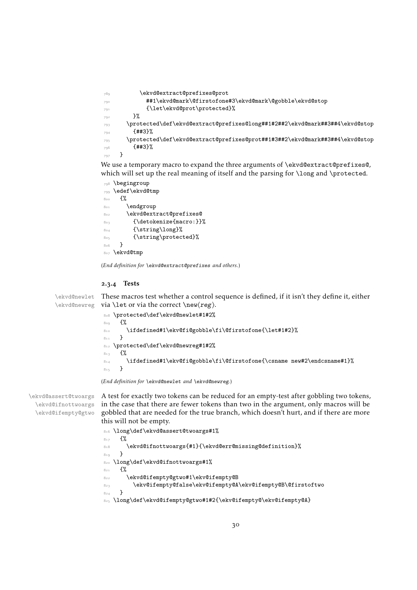```
789 \ekvd@extract@prefixes@prot
790 ##1\ekvd@mark\@firstofone#3\ekvd@mark\@gobble\ekvd@stop
791 {\let\ekvd@prot\protected}%
792 }%
\gamma_{793} \protected\def\ekvd@extract@prefixes@long##1#2##2\ekvd@mark##3##4\ekvd@stop
794 {443}795 \protected\def\ekvd@extract@prefixes@prot##1#3##2\ekvd@mark##3##4\ekvd@stop
796 {##3}%
797 }
```
<span id="page-29-10"></span>We use a temporary macro to expand the three arguments of \ekvd@extract@prefixes@, which will set up the real meaning of itself and the parsing for \long and \protected.

```
798 \begingroup
799 \edef\ekvd@tmp
800 {%
801 \endgroup
802 \ekvd@extract@prefixes@
803 {\detokenize{macro:}}%
804 {\string\long}%
805 {\string\protected}%
906807 \ekvd@tmp
```
<span id="page-29-14"></span>(*End definition for* \ekvd@extract@prefixes *and others.*)

#### <span id="page-29-11"></span><span id="page-29-0"></span>2.3.4 Tests

\ekvd@newlet These macros test whether a control sequence is defined, if it isn't they define it, either \ekvd@newreg via \let or via the correct \new⟨reg⟩.

```
808 \protected\def\ekvd@newlet#1#2%
809 \{ \%810 \ifdefined#1\ekv@fi@gobble\fi\@firstofone{\let#1#2}%
811 }
812 \protected\def\ekvd@newreg#1#2%
8_{13} {%
814 \ifdefined#1\ekv@fi@gobble\fi\@firstofone{\csname new#2\endcsname#1}%
815 }
```
<span id="page-29-2"></span>(*End definition for* \ekvd@newlet *and* \ekvd@newreg*.*)

\ekvd@assert@twoargs \ekvd@ifnottwoargs \ekvd@ifempty@gtwo <span id="page-29-6"></span>A test for exactly two tokens can be reduced for an empty-test after gobbling two tokens, in the case that there are fewer tokens than two in the argument, only macros will be gobbled that are needed for the true branch, which doesn't hurt, and if there are more this will not be empty.

```
816 \long\def\ekvd@assert@twoargs#1%
817 f%
818 \ekvd@ifnottwoargs{#1}{\ekvd@err@missing@definition}%
819 }
820 \long\def\ekvd@ifnottwoargs#1%
821 \{%
822 \ekvd@ifempty@gtwo#1\ekv@ifempty@B
\texttt{823} \verb+\ekv@ifempty@false\ekv@ifempty@A\ekv@ifempty@B\@first of two824 }
825 \long\def\ekvd@ifempty@gtwo#1#2{\ekv@ifempty@\ekv@ifempty@A}
```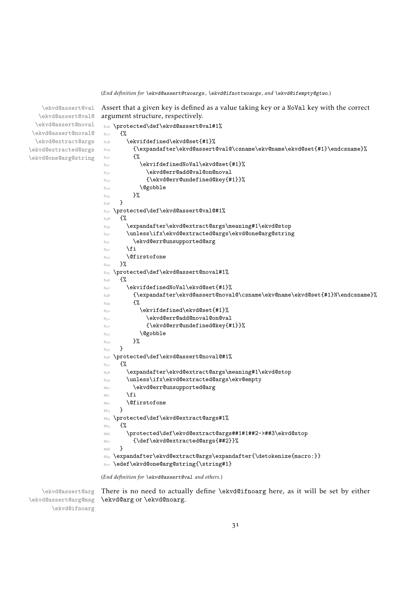(*End definition for* \ekvd@assert@twoargs *,* \ekvd@ifnottwoargs *, and* \ekvd@ifempty@gtwo*.*)

argument structure, respectively.

<span id="page-30-8"></span>Assert that a given key is defined as a value taking key or a NoVal key with the correct

\ekvd@assert@val \ekvd@assert@val@ \ekvd@assert@noval \ekvd@assert@noval@ \ekvd@extract@args \ekvd@extracted@args \ekvd@one@arg@string

```
826 \protected\def\ekvd@assert@val#1%
827 {%
828 \ekvifdefined\ekvd@set{#1}%
829 \label{eq:20} $$830 {%
831 \text{S}31832 \ekvd@err@add@val@on@noval
833 {\ekvd@err@undefined@key{#1}}%
834 \qquad \qquad \qquad \qquad \qquad \qquad \qquad \qquad \qquad \qquad \qquad \qquad \qquad \qquad \qquad \qquad \qquad \qquad \qquad \qquad \qquad \qquad \qquad \qquad \qquad \qquad \qquad \qquad \qquad \qquad \qquad \qquad \qquad \qquad \qquad \qquad \qquad \qquad \qquad \qquad \qquad \qquad \qquad835 }%
836 }
837 \protected\def\ekvd@assert@val@#1%
838 \frac{8}{3}839 \expandafter\ekvd@extract@args\meaning#1\ekvd@stop
840 \unless\ifx\ekvd@extracted@args\ekvd@one@arg@string
841 \ekvd@err@unsupported@arg
842 \text{ }\n\sqrt{f}i843 \@firstofone
844 }%
845 \protected\def\ekvd@assert@noval#1%
846 f%
847 \ekvifdefinedNoVal\ekvd@set{#1}%
848 {\expandafter\ekvd@assert@noval@\csname\ekv@name\ekvd@set{#1}N\endcsname}%
8_{49} \{ \%850 \ekvifdefined\ekvd@set{#1}%
851 \ekvd@err@add@noval@on@val
852 {\ekvd@err@undefined@key{#1}}%
853 \@gobble
\begin{array}{ccc} 8_{54} & & \end{array} }%
855 }
856 \protected\def\ekvd@assert@noval@#1%
857 {%
858 \expandafter\ekvd@extract@args\meaning#1\ekvd@stop
859 \unless\ifx\ekvd@extracted@args\ekv@empty
860 \ekvd@err@unsupported@arg
861 \fi
862 \@firstofone
863 }
864 \protected\def\ekvd@extract@args#1%
865 {%
866 \protected\def\ekvd@extract@args##1#1##2->##3\ekvd@stop
867 {\def\ekvd@extracted@args{##2}}%
868 }
869 \expandafter\ekvd@extract@args\expandafter{\detokenize{macro:}}
870 \edef\ekvd@one@arg@string{\string#1}
```
<span id="page-30-17"></span><span id="page-30-16"></span><span id="page-30-14"></span><span id="page-30-12"></span><span id="page-30-9"></span><span id="page-30-4"></span><span id="page-30-1"></span>(*End definition for* \ekvd@assert@val *and others.*)

\ekvd@assert@arg \ekvd@assert@arg@msg \ekvd@ifnoarg

<span id="page-30-7"></span>There is no need to actually define \ekvd@ifnoarg here, as it will be set by either \ekvd@arg or \ekvd@noarg.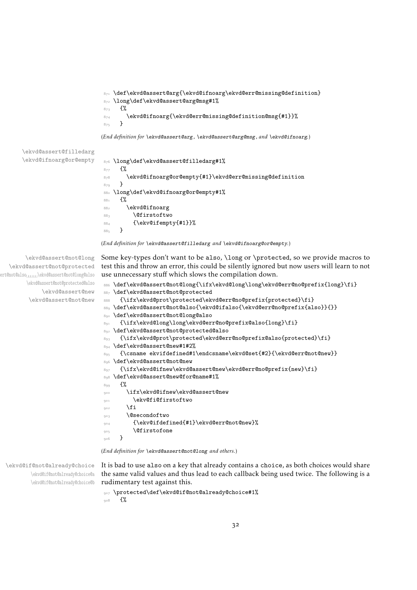```
\def\ekvd@assert@arg{\ekvd@ifnoarg\ekvd@err@missing@definition}
  \long\def\ekvd@assert@arg@msg#1%
873 f%
874 \ekvd@ifnoarg{\ekvd@err@missing@definition@msg{#1}}%
875 }
```
<span id="page-31-9"></span><span id="page-31-8"></span><span id="page-31-3"></span>(*End definition for* \ekvd@assert@arg *,* \ekvd@assert@arg@msg *, and* \ekvd@ifnoarg*.*)

\ekvd@assert@filledarg

```
\ekvd@ifnoarg@or@empty 876 \long\def\ekvd@assert@filledarg#1%
                       877 f%
                       878 \ekvd@ifnoarg@or@empty{#1}\ekvd@err@missing@definition
                       879 }
                       880 \long\def\ekvd@ifnoarg@or@empty#1%
                       881 {%
                       882 \ekvd@ifnoarg
                       883 \@firstoftwo
                       884 {\ekv@ifempty{#1}}%
                       885 }
```
<span id="page-31-18"></span><span id="page-31-2"></span>(*End definition for* \ekvd@assert@filledarg *and* \ekvd@ifnoarg@or@empty*.*)

```
\ekvd@assert@not@long
  \ekvd@assert@not@protected
ert@not@also
       \ekvd@assert@not@protected@also
            \ekvd@assert@new
        \ekvd@assert@not@new
```
<span id="page-31-4"></span>Some key-types don't want to be also, \long or \protected, so we provide macros to test this and throw an error, this could be silently ignored but now users will learn to not use unnecessary stuff which slows the compilation down.

```
886 \def\ekvd@assert@not@long{\ifx\ekvd@long\long\ekvd@err@no@prefix{long}\fi}
887 \def\ekvd@assert@not@protected
888 {\ifx\ekvd@prot\protected\ekvd@err@no@prefix{protected}\fi}
889 \def\ekvd@assert@not@also{\ekvd@ifalso{\ekvd@err@no@prefix{also}}{}}
890 \def\ekvd@assert@not@long@also
891 {\ifx\ekvd@long\long\ekvd@err@no@prefix@also{long}\fi}
892 \def\ekvd@assert@not@protected@also
893 {\ifx\ekvd@prot\protected\ekvd@err@no@prefix@also{protected}\fi}
894 \def\ekvd@assert@new#1#2%
895 {\csname ekvifdefined#1\endcsname\ekvd@set{#2}{\ekvd@err@not@new}}
896 \def\ekvd@assert@not@new
897 {\ifx\ekvd@ifnew\ekvd@assert@new\ekvd@err@no@prefix{new}\fi}
898 \def\ekvd@assert@new@for@name#1%
899 \{ \%\ifx\ekvd@ifnew\ekvd@assert@new
901 \ekv@fi@firstoftwo
\frac{1}{2} \fi
903 \@secondoftwo
904 {\ekv@ifdefined{#1}\ekvd@err@not@new}%
905 \@firstofone
906 }
```
<span id="page-31-17"></span><span id="page-31-12"></span><span id="page-31-5"></span><span id="page-31-1"></span><span id="page-31-0"></span>(*End definition for* \ekvd@assert@not@long *and others.*)

\ekvd@if@not@already@choice \ekvd@if@not@already@choice@a \ekvd@if@not@already@choice@b <span id="page-31-16"></span>It is bad to use also on a key that already contains a choice, as both choices would share the same valid values and thus lead to each callback being used twice. The following is a rudimentary test against this.

```
907 \protected\def\ekvd@if@not@already@choice#1%
\frac{8}{908} f%
```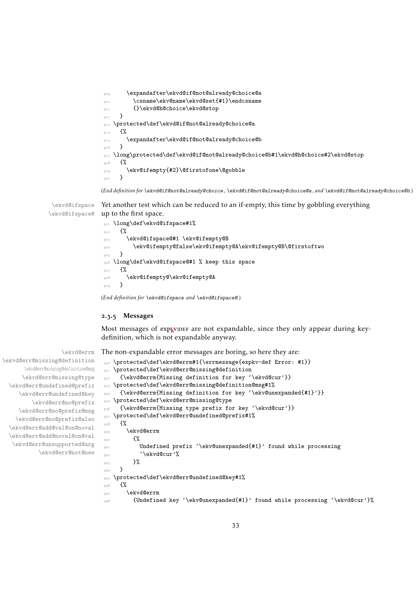```
909 \expandafter\ekvd@if@not@already@choice@a
910 \csname\ekv@name\ekvd@set{#1}\endcsname
911 {}\ekvd@h@choice\ekvd@stop
912 }
913 \protected\def\ekvd@if@not@already@choice@a
914 \{%
915 \expandafter\ekvd@if@not@already@choice@b
916 }
917 \long\protected\def\ekvd@if@not@already@choice@b#1\ekvd@h@choice#2\ekvd@stop
918 {%
919 \ekv@ifempty{#2}\@firstofone\@gobble
920 }
```
<span id="page-32-15"></span><span id="page-32-14"></span><span id="page-32-1"></span>(*End definition for* \ekvd@if@not@already@choice *,* \ekvd@if@not@already@choice@a *, and* \ekvd@if@not@already@choice@b*.*)

\ekvd@ifspace \ekvd@ifspace@ Yet another test which can be reduced to an if-empty, this time by gobbling everything up to the first space.

```
921 \long\def\ekvd@ifspace#1%
922 \frac{1}{2}923 \ekvd@ifspace@#1 \ekv@ifempty@B
924 \ekv@ifempty@false\ekv@ifempty@A\ekv@ifempty@B\@firstoftwo
255926 \long\def\ekvd@ifspace@#1 % keep this space
927 \frac{8}{3}928 \ekv@ifempty@\ekv@ifempty@A
929 }
```
<span id="page-32-2"></span>(*End definition for* \ekvd@ifspace *and* \ekvd@ifspace@*.*)

#### <span id="page-32-0"></span>2.3.5 Messages

Most messages of  $exp<sub>k</sub>$ VIDEF are not expandable, since they only appear during keydefinition, which is not expandable anyway.

<span id="page-32-12"></span>The non-expandable error messages are boring, so here they are:

```
930 \protected\def\ekvd@errm#1{\errmessage{expkv-def Error: #1}}
931 \protected\def\ekvd@err@missing@definition
932 {\ekvd@errm{Missing definition for key '\ekvd@cur'}}
933 \protected\def\ekvd@err@missing@definition@msg#1%
934 {\ekvd@errm{Missing definition for key '\ekv@unexpanded{#1}'}}
935 \protected\def\ekvd@err@missing@type
936 {\ekvd@errm{Missing type prefix for key '\ekvd@cur'}}
937 \protected\def\ekvd@err@undefined@prefix#1%
<sub>93</sub>8 {%
939 \ekvd@errm
\frac{1}{240} \frac{1}{20}941 Undefined prefix '\ekv@unexpanded{#1}' found while processing
\langle \rangleekvd@cur'%
\frac{943}{ } }%
944945 \protected\def\ekvd@err@undefined@key#1%
_{946} {%
947 \ekvd@errm
948 {Undefined key '\ekv@unexpanded{#1}' found while processing '\ekvd@cur'}%
```
\ekvd@errm

\ekvd@err@missing@definition \ekvd@err@missing@definition@msg \ekvd@err@missing@type \ekvd@err@undefined@prefix \ekvd@err@undefined@key \ekvd@err@no@prefix \ekvd@err@no@prefix@msg \ekvd@err@no@prefix@also \ekvd@err@add@val@on@noval \ekvd@err@add@noval@on@val \ekvd@err@unsupported@arg \ekvd@err@not@new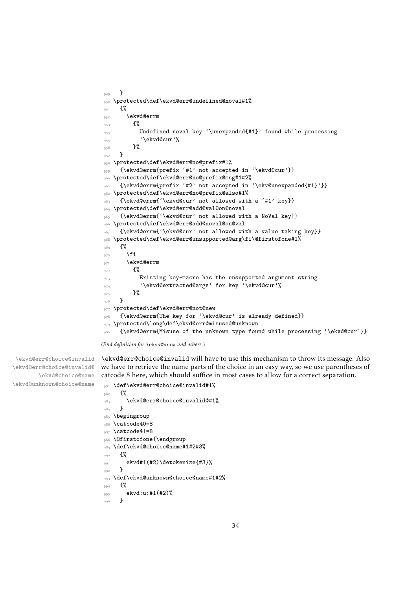```
949 }
950 \protected\def\ekvd@err@undefined@noval#1%
951 \frac{1}{2}952 \ekvd@errm
\frac{953}{ } \frac{1}{20}954 Undefined noval key '\unexpanded{#1}' found while processing
955 '\ekvd@cur'%
956 }%
<sub>957</sub> }
958 \protected\def\ekvd@err@no@prefix#1%
959 {\ekvd@errm{prefix '#1' not accepted in '\ekvd@cur'}}
960 \protected\def\ekvd@err@no@prefix@msg#1#2%
961 {\ekvd@errm{prefix '#2' not accepted in '\ekv@unexpanded{#1}'}}
962 \protected\def\ekvd@err@no@prefix@also#1%
963 {\ekvd@errm{'\ekvd@cur' not allowed with a '#1' key}}
964 \protected\def\ekvd@err@add@val@on@noval
965 {\ekvd@errm{'\ekvd@cur' not allowed with a NoVal key}}
966 \protected\def\ekvd@err@add@noval@on@val
967 {\ekvd@errm{'\ekvd@cur' not allowed with a value taking key}}
968 \protected\def\ekvd@err@unsupported@arg\fi\@firstofone#1%
<sub>969</sub> {%
970 \overline{f}971 \ekvd@errm
972 \{ \%973 Existing key-macro has the unsupported argument string
974 '\ekvd@extracted@args' for key '\ekvd@cur'%
975 }%
976 }
977 \protected\def\ekvd@err@not@new
978 {\ekvd@errm{The key for '\ekvd@cur' is already defined}}
979 \protected\long\def\ekvd@err@misused@unknown
980 {\ekvd@errm{Misuse of the unknown type found while processing '\ekvd@cur'}}
```
<span id="page-33-10"></span><span id="page-33-9"></span><span id="page-33-8"></span><span id="page-33-7"></span><span id="page-33-6"></span>(*End definition for* \ekvd@errm *and others.*)

\ekvd@err@choice@invalid \ekvd@err@choice@invalid@ \ekvd@choice@name \ekvd@unknown@choice@name

<span id="page-33-1"></span>\ekvd@err@choice@invalid will have to use this mechanism to throw its message. Also we have to retrieve the name parts of the choice in an easy way, so we use parentheses of catcode 8 here, which should suffice in most cases to allow for a correct separation.

```
981 \def\ekvd@err@choice@invalid#1%
982 \{ \%983 \ekvd@err@choice@invalid@#1%
984 }
985 \begingroup
986 \catcode40=8
987 \catcode41=8
988 \@firstofone{\endgroup
989 \def\ekvd@choice@name#1#2#3%
990 \mathcal{H}991 ekvd#1(#2)\detokenize{#3}%
992 }
993 \def\ekvd@unknown@choice@name#1#2%
994 \frac{8}{3}995 ekvd:u:#1(#2)%
996 }
```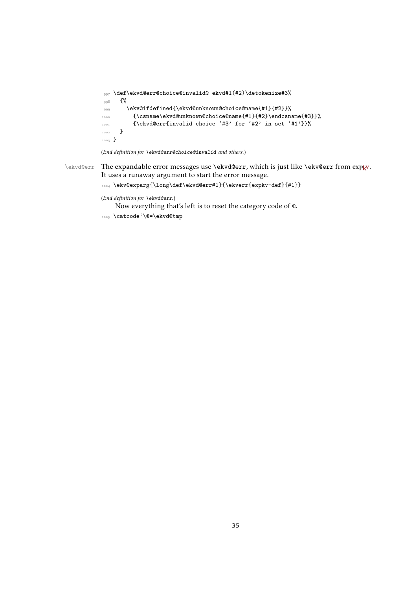```
997 \def\ekvd@err@choice@invalid@ ekvd#1(#2)\detokenize#3%
998 {%
999 \ekv@ifdefined{\ekvd@unknown@choice@name{#1}{#2}}%
1000 {\csname\ekvd@unknown@choice@name{#1}{#2}\endcsname{#3}}%
1001 {\ekvd@err{invalid choice '#3' for '#2' in set '#1'}}%
1002 }
1003 }
```
<span id="page-34-3"></span><span id="page-34-2"></span>(*End definition for* \ekvd@err@choice@invalid *and others.*)

\ekvd@err The expandable error messages use \ekvd@err, which is just like \ekv@err from [expkv](https://github.com/Skillmon/tex_expkv) . It uses a runaway argument to start the error message.

```
\texttt{key@exparg}\long\def\ekvd@err\#1}{\ekverfexpkv-def}_{\#1}\}
```
(*End definition for* \ekvd@err*.*)

Now everything that's left is to reset the category code of @.

<span id="page-34-4"></span><sup>1005</sup> \catcode'\@=\ekvd@tmp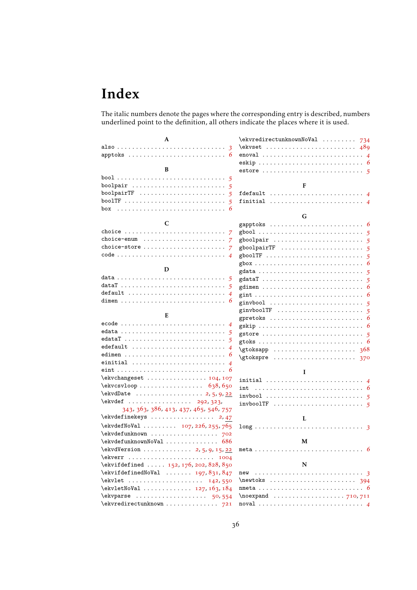# <span id="page-35-0"></span>Index

The italic numbers denote the pages where the corresponding entry is described, numbers underlined point to the definition, all others indicate the places where it is used.

| A                                                                                                   | \ekvredirectunknownNoVal<br>734                                            |
|-----------------------------------------------------------------------------------------------------|----------------------------------------------------------------------------|
|                                                                                                     | 489                                                                        |
|                                                                                                     | $enoval \dots \dots \dots \dots \dots \dots \dots \dots \dots \dots \dots$ |
|                                                                                                     |                                                                            |
| B                                                                                                   |                                                                            |
|                                                                                                     |                                                                            |
|                                                                                                     | F                                                                          |
| boolpairTF $\ldots \ldots \ldots \ldots \ldots \ldots$                                              | $f$ default  4                                                             |
|                                                                                                     | finitial $\ldots \ldots \ldots \ldots \ldots \ldots \ldots \ldots$         |
| box                                                                                                 |                                                                            |
|                                                                                                     | G                                                                          |
| C                                                                                                   |                                                                            |
|                                                                                                     |                                                                            |
| $choice-enum \dots \dots \dots \dots \dots \dots \dots \dots \dots$                                 |                                                                            |
| choice-store                                                                                        |                                                                            |
|                                                                                                     |                                                                            |
|                                                                                                     |                                                                            |
| D                                                                                                   |                                                                            |
|                                                                                                     | gdataT<br>$-5$                                                             |
| dataT                                                                                               | gdimen                                                                     |
| $default \dots \dots \dots \dots \dots \dots \dots \dots \dots$                                     |                                                                            |
|                                                                                                     | ginvbool                                                                   |
| E                                                                                                   | ginvboolTF $\ldots \ldots \ldots \ldots \ldots \ldots$                     |
|                                                                                                     | gpretoks $\ldots \ldots \ldots \ldots \ldots \ldots \ldots$                |
|                                                                                                     |                                                                            |
|                                                                                                     | gstore $\ldots \ldots \ldots \ldots \ldots \ldots \ldots \ldots$           |
| $edefault$                                                                                          |                                                                            |
| edimen                                                                                              | $\setminus$ gtoksapp<br>368                                                |
|                                                                                                     |                                                                            |
|                                                                                                     |                                                                            |
| $\text{ekvchangeset} \ldots \ldots \ldots \ldots 104, 107$                                          | I                                                                          |
| $\text{ekvcsvloop} \ldots \ldots \ldots \ldots \quad 638,650$                                       | initial $\ldots \ldots \ldots \ldots \ldots \ldots \ldots$                 |
| $\text{VekvdDate} \dots \dots \dots \dots \dots \dots \dots \dots \dots \dots \dots \dots \dots$    | int                                                                        |
| \ekvdef  292, 323,                                                                                  |                                                                            |
| 343, 363, 386, 413, 437, 465, 546, 757                                                              |                                                                            |
| \ekvdefinekeys<br>2,47                                                                              |                                                                            |
| \ekvdefNoVal  107, 226, 255, 765                                                                    | L                                                                          |
| \ekvdefunknown                                                                                      | $\overline{\mathbf{3}}$                                                    |
| $\text{ekvdefunknownNoVal} \dots \dots \dots \dots \ 686$                                           | M                                                                          |
|                                                                                                     |                                                                            |
| \ekvdVersion  2, 5, 9, 15, 22                                                                       |                                                                            |
| \ekvifdefined  152, 176, 202, 828, 850                                                              | N                                                                          |
|                                                                                                     |                                                                            |
| $\text{ekvlet} \dots \dots \dots \dots \dots \dots \dots \dots \dots \dots \dots \dots \dots \dots$ | $\neq$ x $\dots$ $\dots$                                                   |
| \ekvletNoVal  127, 163, 184                                                                         |                                                                            |
|                                                                                                     | $\neq$ 710, 711                                                            |
| $\text{ekvredirectunknown} \ldots \ldots \ldots \quad 721$                                          |                                                                            |
|                                                                                                     |                                                                            |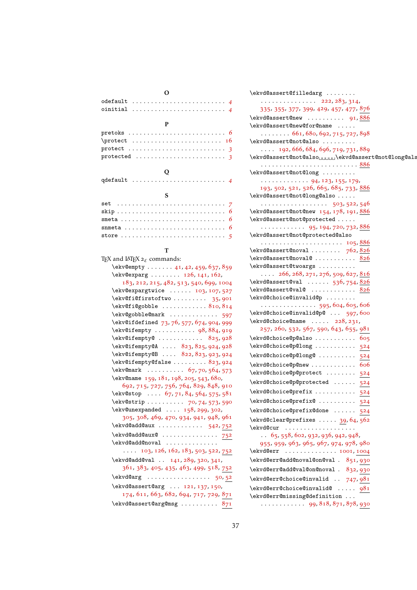| v<br>e<br>× |
|-------------|
|-------------|

| $odefault \ldots \ldots \ldots \ldots \ldots \ldots \ldots 4$<br>oinitial $\ldots \ldots \ldots \ldots \ldots \ldots \ldots$ |
|------------------------------------------------------------------------------------------------------------------------------|
| P                                                                                                                            |
|                                                                                                                              |
|                                                                                                                              |
|                                                                                                                              |
|                                                                                                                              |
| Q<br>qdefault $\ldots \ldots \ldots \ldots \ldots \ldots \ldots$                                                             |
| S                                                                                                                            |
| $\epsilon$ and $\epsilon$ and $\epsilon$ and $\epsilon$ and $\epsilon$                                                       |

#### T

| TEX and LATEX $2\varepsilon$ commands:                      |
|-------------------------------------------------------------|
| \ekv@empty  41, 42, 459, 637, 859                           |
| \ekv@exparg  126, 141, 162,                                 |
| 183, 212, 215, 482, 513, 540, 699, 1004                     |
| $\text{ekv@expargtwice} \dots 103, 107, 527$                |
| $\text{ekv@fi@firstoftwo 35, 901}$                          |
| $\text{ekv@fi@gobble  810, 814}$                            |
| \ekv@gobble@mark  597                                       |
| \ekv@ifdefined 73, 76, 577, 674, 904, 999                   |
| \ekv@ifempty  98,884,919                                    |
| $\text{ekv@ifempty@    825, 928}$                           |
| \ekv@ifempty@A  823, 825, 924, 928                          |
| \ekv@ifempty@B  822, 823, 923, 924                          |
| \ekv@ifempty@false  823, 924                                |
| $\text{Vekv@mark} \dots \dots \dots \quad 67, 70, 564, 573$ |
| \ekv@name 159, 181, 198, 205, 543, 680,                     |
| 692, 715, 727, 756, 764, 829, 848, 910                      |
| \ekv@stop $67, 71, 84, 564, 575, 581$                       |
| \ekv@strip  70, 74, 573, 590                                |
| $\text{Vekv@unexpanded} \dots 158, 299, 302,$               |
| 305, 308, 469, 470, 934, 941, 948, 961                      |
| \ekvd@add@aux  542,752                                      |
| \ekvd@add@aux@752                                           |
| \ekvd@add@noval                                             |
| $\ldots$ 103, 126, 162, 183, 503, 522, 752                  |
| \ekvd@add@val  141, 289, 320, 341,                          |
| 361, 383, 405, 435, 463, 499, 518, 752                      |
| \ekvd@arg  50,52                                            |
| \ekvd@assert@arg  121, 137, 150,                            |
| 174, 611, 663, 682, 694, 717, 729, 871                      |
| \ekvd@assert@arg@msg  871                                   |
|                                                             |

| \ekvd@assert@filledarg                                                |
|-----------------------------------------------------------------------|
| . 222, 283, 314,                                                      |
| 335, 355, 377, 399, 429, 457, 477, 876                                |
| $\texttt{ekvd@assert@new} \dots \dots \dots \ 91, \frac{886}{5}$      |
| \ekvd@assert@new@for@name                                             |
| $\ldots \ldots 661,680,692,715,727,898$                               |
| \ekvd@assert@not@also                                                 |
| $\ldots$ 192, 666, 684, 696, 719, 731, 889                            |
| \ekvd@assert@not@alsoUUUUU\ekvd@assert@not@long@als                   |
| \ekvd@assert@not@long                                                 |
| $\cdots \cdots \cdots \cdots 94, 123, 155, 179,$                      |
| 193, 502, 521, 526, 665, 685, 733, 886                                |
| \ekvd@assert@not@long@also                                            |
| . 503, 522, 546                                                       |
| \ekvd@assert@not@new 154, 178, 191, 886                               |
| \ekvd@assert@not@protected                                            |
| . 95, 194, 720, 732, <u>886</u>                                       |
| \ekvd@assert@not@protected@also                                       |
| $\texttt{ekvd@assert@noval} \ldots \ldots \quad 762, \underline{826}$ |
| $\texttt{ekvd@assert@noval@ 826}$                                     |
| \ekvd@assert@twoargs                                                  |
| $\ldots$ 266, 268, 271, 276, 509, 627, 816                            |
| $\text{ekvd@assert@val} \dots \dots \ 536,754,826$                    |
| \ekvd@assert@val@ 826                                                 |
| \ekvd@choice@invalid@p                                                |
| 595, 604, 605, 606                                                    |
| \ekvd@choice@invalid@p@  597,600                                      |
| \ekvd@choice@name  228, 231,                                          |
| 257, 260, 532, 567, 590, 643, 655, 981                                |
| \ekvd@choice@p@also  605                                              |
| \ekvd@choice@p@long  524                                              |
| \ekvd@choice@p@long@  524                                             |
| \ekvd@choice@p@new  606                                               |
| \ekvd@choice@p@protect  524                                           |
| \ekvd@choice@p@protected  524                                         |
| \ekvd@choice@prefix  524                                              |
| \ekvd@choice@prefix@  524                                             |
| \ekvd@choice@prefix@done  524                                         |
| $\text{ekvd@clear@prefixes  39, 64, 562}$                             |
| \ekvd@cur                                                             |
| $\ldots$ 65, 558, 602, 932, 936, 942, 948,                            |
| 955, 959, 963, 965, 967, 974, 978, 980                                |
| \ekvd@err  1001, 1004                                                 |
| \ekvd@err@add@noval@on@val . 851,930                                  |
| \ekvd@err@add@val@on@noval . 832,930                                  |
| $\text{ekvd@err@choice@invald} \ldots$ 747, 981                       |
| \ekvd@err@choice@invalid@  981                                        |
|                                                                       |

\ekvd@err@missing@definition . . .

. . . . . . . . . . . . [99](#page-13-12), [818](#page-29-7), [871](#page-31-7), [878](#page-31-8), [930](#page-32-12)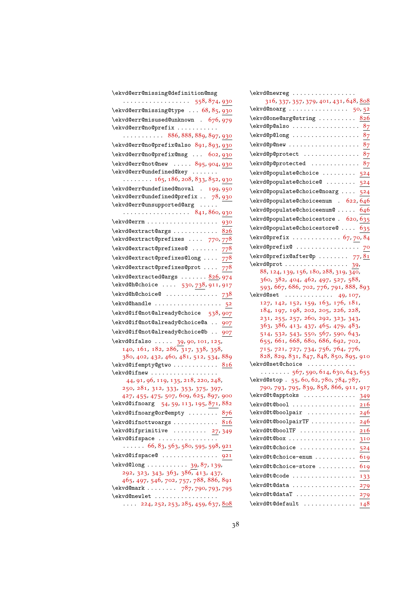| \ekvd@err@missing@definition@msg                                                   |
|------------------------------------------------------------------------------------|
|                                                                                    |
| \ekvd@err@missing@type  68, 85, 930                                                |
| \ekvd@err@misused@unknown . 676, 979                                               |
| \ekvd@err@no@prefix                                                                |
| $\ldots \ldots \ldots 886, 888, 889, 897, 930$                                     |
| \ekvd@err@no@prefix@also 891,893,930                                               |
| \ekvd@err@no@prefix@msg  602, 930                                                  |
| \ekvd@err@not@new  895,904,930                                                     |
| \ekvd@err@undefined@key                                                            |
| $\ldots \ldots \ldots 165$ , 186, 208, 833, 852, 930                               |
| \ekvd@err@undefined@noval . 199,950                                                |
| .<br>\ekvd@err@undefined@prefix  78,930                                            |
| \ekvd@err@unsupported@arg                                                          |
| . 841, 860, 930                                                                    |
| \ekvd@errm  930                                                                    |
| \ekvd@extract@args  826                                                            |
| \ekvd@extract@prefixes  770,778                                                    |
| $\text{ekvd@extract@prefixes@   778}$                                              |
| $\text{kekvd@extract@prefixes@long  778}$                                          |
|                                                                                    |
| $\verb+\ekvd@extract@prefixes@prot778$                                             |
| \ekvd@extracted@args  826, 974                                                     |
| \ekvd@h@choice  530, 738, 911, 917                                                 |
| \ekvd@h@choice@  738                                                               |
| \ekvd@handle  52                                                                   |
| \ekvd@if@not@already@choice 538,907                                                |
| \ekvd@if@not@already@choice@a  907                                                 |
| \ekvd@if@not@already@choice@b  907                                                 |
| \ekvd@ifalso  39, 90, 101, 125,<br>140, 161, 182, 286, 317, 338, 358,              |
|                                                                                    |
| 380, 402, 432, 460, 481, 512, 534, 889                                             |
| \ekvd@ifempty@gtwo 816                                                             |
| \ekvd@ifnew                                                                        |
| 44, 91, 96, 119, 135, 218, 220, 248,                                               |
| 250, 281, 312, 333, 353, 375, 397,                                                 |
| 427, 455, 475, 507, 609, 625, 897, 900<br>\ekvd@ifnoarg 54, 59, 113, 195, 871, 882 |
| $\text{ekvd@ifnoarg@or@empty  } 876$                                               |
| $\text{Vekvd}$ difnottwo args $816$                                                |
| $\text{ekvdd}$ ifprimitive  27,349                                                 |
| \ekvd@ifspace                                                                      |
| $\ldots \ldots 66, 83, 563, 580, 595, 598, 921$                                    |
| \ekvd@ifspace@  921                                                                |
| $\text{ekvd@long    } 39, 87, 139,$                                                |
| 292, 323, 343, 363, 386, 413, 437,                                                 |
| 465, 497, 546, 702, 757, 788, 886, 891                                             |
| \ekvd@mark  787, 790, 793, 795                                                     |
| \ekvd@newlet                                                                       |
| 224, 252, 253, 285, 459, 637, <u>808</u>                                           |

| \ekvd@newreg                                                             |
|--------------------------------------------------------------------------|
| 316, 337, 357, 379, 401, 431, 648, 808                                   |
| \ekvd@noarg  50,52                                                       |
| \ekvd@one@arg@string  826                                                |
| \ekvd@p@also  87                                                         |
| $\text{ekvd@p@long  \ldots \ldots \ldots 87}$                            |
| \ekvd@p@new<br>8 <sub>7</sub>                                            |
| \ekvd@p@protect  87                                                      |
| \ekvd@p@protected  87                                                    |
| \ekvd@populate@choice  524                                               |
| \ekvd@populate@choice@  524                                              |
| \ekvd@populate@choice@noarg  524                                         |
| \ekvd@populate@choiceenum . 622, 646                                     |
| \ekvd@populate@choiceenum@  646                                          |
| \ekvd@populate@choicestore . 620, 635                                    |
| \ekvd@populate@choicestore@ 635                                          |
| $\text{ekvd@prefix} \ldots \ldots \ldots \ldots 67,70,84$                |
|                                                                          |
| $\text{ekvd@prefix@after@p  77.}$                                        |
| \ekvd@prot  39,                                                          |
| 88, 124, 139, 156, 180, 288, 319, 340,                                   |
| 360, 382, 404, 462, 497, 527, 588,                                       |
| 593, 667, 686, 702, 776, 791, 888, 893                                   |
| $\text{Qset} \dots \dots \dots \ 49, 107,$                               |
| 127, 142, 152, 159, 163, 176, 181,<br>184, 197, 198, 202, 205, 226, 228, |
| 231, 255, 257, 260, 292, 323, 343,                                       |
| 363, 386, 413, 437, 465, 479, 483,                                       |
| 514, 532, 543, 550, 567, 590, 643,                                       |
| 655, 661, 668, 680, 686, 692, 702,                                       |
| 715, 721, 727, 734, 756, 764, 776,                                       |
| 828, 829, 831, 847, 848, 850, 895, 910                                   |
| \ekvd@set@choice<br>$\ldots \ldots 567$ , 590, 614, 630, 643, 655        |
| \ekvd@stop. 55, 60, 62, 780, 784, 787,                                   |
| 790, 793, 795, 839, 858, 866, 911, 917                                   |
| \ekvd@t@apptoks<br>$\cdot \cdot 349$<br>$\cdots$                         |
| \ekvd@t@bool<br><u> 216</u>                                              |
| \ekvd@t@boolpair<br>246                                                  |
| \ekvd@t@boolpairTF<br>246                                                |
| \ekvd@t@boolTF<br><u> 216</u>                                            |
| \ekvd@t@box<br>310                                                       |
| \ekvd@t@choice<br>524                                                    |
| \ekvd@t@choice-enum<br>619                                               |
| \ekvd@t@choice-store<br>619                                              |
| \ekvd@t@code<br>133                                                      |
| \ekvd@t@data<br>279                                                      |
| \ekvd@t@dataT<br>279                                                     |
| \ekvd@t@default<br>148                                                   |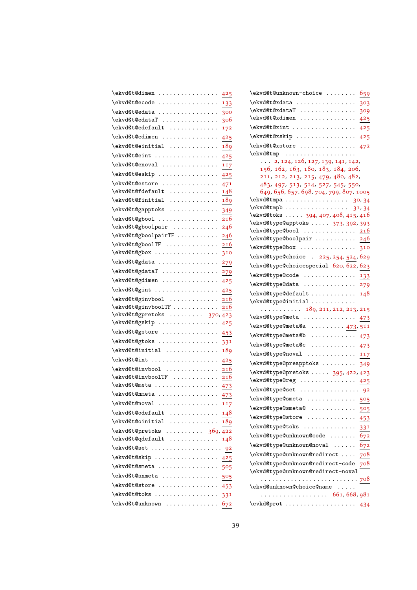| \ekvd@t@dimen<br>425                                                                                                                                                                       |
|--------------------------------------------------------------------------------------------------------------------------------------------------------------------------------------------|
| \ekvd@t@ecode<br>.<br>133                                                                                                                                                                  |
| \ekvd@t@edata<br>.<br>300                                                                                                                                                                  |
| \ekvd@t@edataT<br>306                                                                                                                                                                      |
| \ekvd@t@edefault<br>172                                                                                                                                                                    |
| \ekvd@t@edimen<br>.<br>425                                                                                                                                                                 |
| \ekvd@t@einitial<br>189                                                                                                                                                                    |
| \ekvd@t@eint<br>425                                                                                                                                                                        |
| \ekvd@t@enoval<br>.<br>117                                                                                                                                                                 |
| \ekvd@t@eskip<br>425                                                                                                                                                                       |
| \ekvd@t@estore<br>471                                                                                                                                                                      |
| \ekvd@t@fdefault<br>.<br>148                                                                                                                                                               |
| \ekvd@t@finitial<br>189<br>.                                                                                                                                                               |
| \ekvd@t@gapptoks<br>.<br>349                                                                                                                                                               |
| \ekvd@t@gbool<br><u>216</u>                                                                                                                                                                |
| \ekvd@t@gboolpair<br>246                                                                                                                                                                   |
| \ekvd@t@gboolpairTF<br>246                                                                                                                                                                 |
| \ekvd@t@gboolTF<br>216                                                                                                                                                                     |
| \ekvd@t@gbox<br>310                                                                                                                                                                        |
| \ekvd@t@gdata<br>279                                                                                                                                                                       |
| \ekvd@t@gdataT<br>279                                                                                                                                                                      |
| \ekvd@t@gdimen<br>425                                                                                                                                                                      |
| \ekvd@t@gint<br>.<br>425                                                                                                                                                                   |
| \ekvd@t@ginvbool<br>216<br>\ekvd@t@ginvboolTF<br>216                                                                                                                                       |
| \ekvd@t@gpretoks  370,423                                                                                                                                                                  |
| \ekvd@t@gskip<br>$\cdot$<br>$\begin{array}{cccccccccccccc} \bullet & \bullet & \bullet & \bullet & \bullet & \bullet & \bullet & \bullet & \bullet & \bullet & \bullet \end{array}$<br>425 |
| \ekvd@t@gstore<br>453                                                                                                                                                                      |
| \ekvd@t@gtoks<br>$\sim$ $\sim$<br>$\bullet$<br>331                                                                                                                                         |
| \ekvd@t@initial<br>189                                                                                                                                                                     |
| \ekvd@t@int<br>425                                                                                                                                                                         |
| \ekvd@t@invbool<br>216                                                                                                                                                                     |
| \ekvd@t@invboolTF<br>216                                                                                                                                                                   |
| \ekvd@t@meta<br>473                                                                                                                                                                        |
| \ekvd@t@nmeta<br>473                                                                                                                                                                       |
| \ekvd@t@noval<br>117                                                                                                                                                                       |
| \ekvd@t@odefault<br>148                                                                                                                                                                    |
| \ekvd@t@oinitial<br>189                                                                                                                                                                    |
| \ekvd@t@pretoks  369,422                                                                                                                                                                   |
| \ekvd@t@qdefault<br>148                                                                                                                                                                    |
| \ekvd@t@set<br>92                                                                                                                                                                          |
| \ekvd@t@skip<br>425                                                                                                                                                                        |
| \ekvd@t@smeta<br>505                                                                                                                                                                       |
| \ekvd@t@snmeta<br>505                                                                                                                                                                      |
| \ekvd@t@store<br>453                                                                                                                                                                       |
| \ekvd@t@toks<br>331                                                                                                                                                                        |
| \ekvd@t@unknown<br>672                                                                                                                                                                     |

| \ekvd@t@unknown-choice                                                        | 659                   |
|-------------------------------------------------------------------------------|-----------------------|
| \ekvd@t@xdata                                                                 | 303                   |
| \ekvd@t@xdataT                                                                | 309                   |
| \ekvd@t@xdimen                                                                | 425                   |
| \ekvd@t@xint                                                                  | 425                   |
| \ekvd@t@xskip                                                                 | 425                   |
| \ekvd@t@xstore                                                                | 472                   |
| \ekvd@tmp                                                                     |                       |
| $\ldots$ 2, 124, 126, 127, 139, 141, 142,                                     |                       |
| 156, 162, 163, 180, 183, 184, 206,                                            |                       |
| 211, 212, 213, 215, 479, 480, 482,                                            |                       |
| 483, 497, 513, 514, 527, 545, 550,<br>649, 656, 657, 698, 704, 799, 807, 1005 |                       |
| $\texttt{ekvdQtmpa} \dots \dots \dots \dots \dots \ 30,34$                    |                       |
| \ekvd@tmpb                                                                    | 31, 34                |
| \ekvd@toks  394, 407, 408, 415, 416                                           |                       |
| \ekvd@type@apptoks  373, 392, 393                                             |                       |
| \ekvd@type@bool                                                               | 216                   |
| \ekvd@type@boolpair                                                           | 246                   |
| \ekvd@type@box                                                                | 310                   |
| \ekvd@type@choice . 225, 254, 524, 629                                        |                       |
| \ekvd@type@choicespecial 620, 622, 623                                        |                       |
| \ekvd@type@code                                                               | 133                   |
| \ekvd@type@data                                                               | 279                   |
| \ekvd@type@default                                                            | 148                   |
| \ekvd@type@initial                                                            |                       |
| . 189, 211, 212, 213, 215                                                     |                       |
| \ekvd@type@meta                                                               | 473                   |
| \ekvd@type@meta@a  473,511                                                    |                       |
| \ekvd@type@meta@b                                                             | 473                   |
| \ekvd@type@meta@c                                                             | 473                   |
| \ekvd@type@noval  117                                                         |                       |
| \ekvd@type@preapptoks                                                         | 349                   |
| \ekvd@type@pretoks  395, 422, 423                                             |                       |
| \ekvd@type@reg                                                                | 425                   |
| \ekvd@type@set                                                                | 92                    |
| \ekvd@type@smeta                                                              | 505                   |
| \ekvd@type@smeta@<br>$\Box$ , , , , ,                                         | $\cdot \frac{505}{ }$ |
| \ekvd@type@store                                                              |                       |
|                                                                               | <u>453</u>            |
| \ekvd@type@toks                                                               | 331                   |
| \ekvd@type@unknown@code                                                       | 672                   |
| \ekvd@type@unknown@noval                                                      | 672                   |
| \ekvd@type@unknown@redirect                                                   | 708                   |
| \ekvd@type@unknown@redirect-code                                              | 708                   |
| \ekvd@type@unknown@redirect-noval                                             |                       |
| .<br>\ekvd@unknown@choice@name                                                | 708                   |
| $\cdots \cdots \cdots \cdots \cdots \cdots 661, 668, 981$                     |                       |
| \evkd@prot                                                                    |                       |
|                                                                               | 434                   |